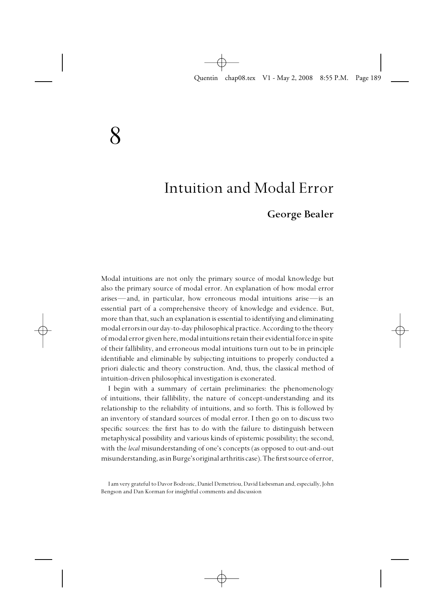# 8

# Intuition and Modal Error

# **George Bealer**

Modal intuitions are not only the primary source of modal knowledge but also the primary source of modal error. An explanation of how modal error arises—and, in particular, how erroneous modal intuitions arise—is an essential part of a comprehensive theory of knowledge and evidence. But, more than that, such an explanation is essential to identifying and eliminating modal errors in our day-to-day philosophical practice. According to the theory of modal error given here, modal intuitions retain their evidential force in spite of their fallibility, and erroneous modal intuitions turn out to be in principle identifiable and eliminable by subjecting intuitions to properly conducted a priori dialectic and theory construction. And, thus, the classical method of intuition-driven philosophical investigation is exonerated.

I begin with a summary of certain preliminaries: the phenomenology of intuitions, their fallibility, the nature of concept-understanding and its relationship to the reliability of intuitions, and so forth. This is followed by an inventory of standard sources of modal error. I then go on to discuss two specific sources: the first has to do with the failure to distinguish between metaphysical possibility and various kinds of epistemic possibility; the second, with the *local* misunderstanding of one's concepts (as opposed to out-and-out misunderstanding, as in Burge's original arthritis case). The first source of error,

I am very grateful to Davor Bodrozic, Daniel Demetriou, David Liebesman and, especially, John Bengson and Dan Korman for insightful comments and discussion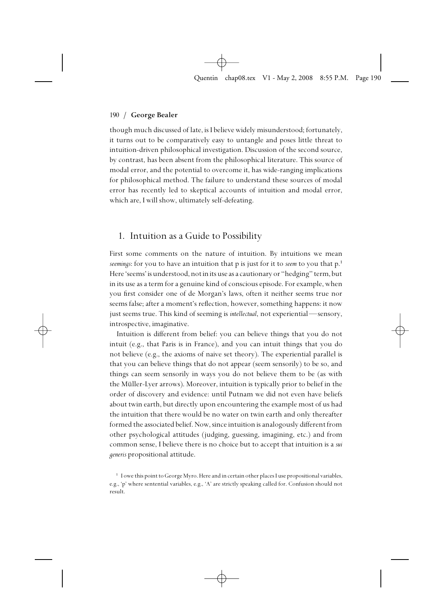# 190 **/ George Bealer**

though much discussed of late, is I believe widely misunderstood; fortunately, it turns out to be comparatively easy to untangle and poses little threat to intuition-driven philosophical investigation. Discussion of the second source, by contrast, has been absent from the philosophical literature. This source of modal error, and the potential to overcome it, has wide-ranging implications for philosophical method. The failure to understand these sources of modal error has recently led to skeptical accounts of intuition and modal error, which are, I will show, ultimately self-defeating.

# 1. Intuition as a Guide to Possibility

First some comments on the nature of intuition. By intuitions we mean *seemings*: for you to have an intuition that p is just for it to *seem* to you that p.<sup>1</sup> Here 'seems' is understood, not in its use as a cautionary or ''hedging'' term, but in its use as a term for a genuine kind of conscious episode. For example, when you first consider one of de Morgan's laws, often it neither seems true nor seems false; after a moment's reflection, however, something happens: it now just seems true. This kind of seeming is *intellectual*, not experiential—sensory, introspective, imaginative.

Intuition is different from belief: you can believe things that you do not intuit (e.g., that Paris is in France), and you can intuit things that you do not believe (e.g., the axioms of naive set theory). The experiential parallel is that you can believe things that do not appear (seem sensorily) to be so, and things can seem sensorily in ways you do not believe them to be (as with the Müller-Lyer arrows). Moreover, intuition is typically prior to belief in the order of discovery and evidence: until Putnam we did not even have beliefs about twin earth, but directly upon encountering the example most of us had the intuition that there would be no water on twin earth and only thereafter formed the associated belief. Now, since intuition is analogously different from other psychological attitudes (judging, guessing, imagining, etc.) and from common sense, I believe there is no choice but to accept that intuition is a *sui generis* propositional attitude.

<sup>&</sup>lt;sup>1</sup> I owe this point to George Myro. Here and in certain other places I use propositional variables, e.g., 'p' where sentential variables, e.g., 'A' are strictly speaking called for. Confusion should not result.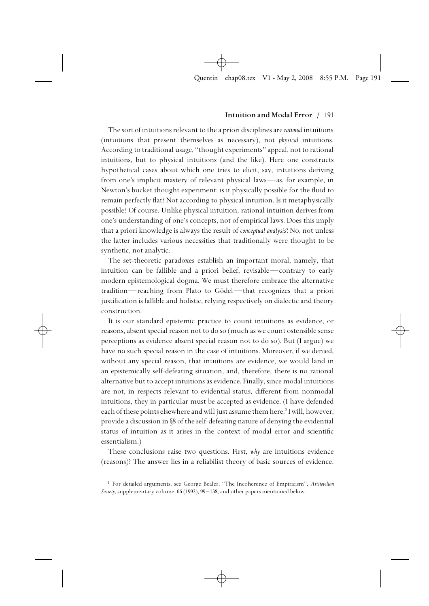# **Intuition and Modal Error /** 191

The sort of intuitions relevant to the a priori disciplines are*rational* intuitions (intuitions that present themselves as necessary), not *physical* intuitions. According to traditional usage, ''thought experiments'' appeal, not to rational intuitions, but to physical intuitions (and the like). Here one constructs hypothetical cases about which one tries to elicit, say, intuitions deriving from one's implicit mastery of relevant physical laws—as, for example, in Newton's bucket thought experiment: is it physically possible for the fluid to remain perfectly flat? Not according to physical intuition. Is it metaphysically possible? Of course. Unlike physical intuition, rational intuition derives from one's understanding of one's concepts, not of empirical laws. Does this imply that a priori knowledge is always the result of *conceptual analysis*? No, not unless the latter includes various necessities that traditionally were thought to be synthetic, not analytic.

The set-theoretic paradoxes establish an important moral, namely, that intuition can be fallible and a priori belief, revisable—contrary to early modern epistemological dogma. We must therefore embrace the alternative tradition—reaching from Plato to Gödel—that recognizes that a priori justification is fallible and holistic, relying respectively on dialectic and theory construction.

It is our standard epistemic practice to count intuitions as evidence, or reasons, absent special reason not to do so (much as we count ostensible sense perceptions as evidence absent special reason not to do so). But (I argue) we have no such special reason in the case of intuitions. Moreover, if we denied, without any special reason, that intuitions are evidence, we would land in an epistemically self-defeating situation, and, therefore, there is no rational alternative but to accept intuitions as evidence. Finally, since modal intuitions are not, in respects relevant to evidential status, different from nonmodal intuitions, they in particular must be accepted as evidence. (I have defended each of these points elsewhere and will just assume them here.² I will, however, provide a discussion in §8 of the self-defeating nature of denying the evidential status of intuition as it arises in the context of modal error and scientific essentialism.)

These conclusions raise two questions. First, *why* are intuitions evidence (reasons)? The answer lies in a reliabilist theory of basic sources of evidence.

² For detailed arguments, see George Bealer, ''The Incoherence of Empiricism'', *Aristotelian Society*, supplementary volume, 66 (1992), 99–138, and other papers mentioned below.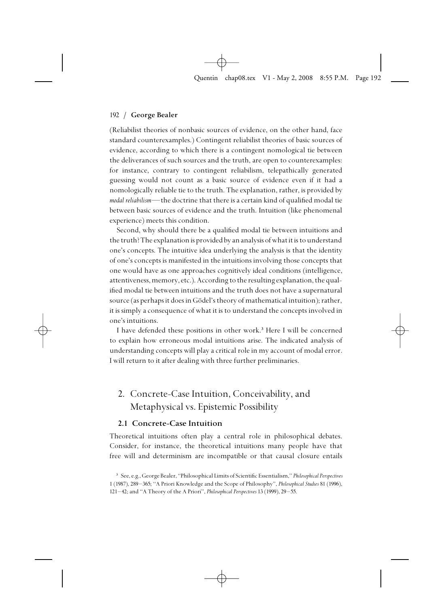# 192 **/ George Bealer**

(Reliabilist theories of nonbasic sources of evidence, on the other hand, face standard counterexamples.) Contingent reliabilist theories of basic sources of evidence, according to which there is a contingent nomological tie between the deliverances of such sources and the truth, are open to counterexamples: for instance, contrary to contingent reliabilism, telepathically generated guessing would not count as a basic source of evidence even if it had a nomologically reliable tie to the truth. The explanation, rather, is provided by *modal reliabilism*—the doctrine that there is a certain kind of qualified modal tie between basic sources of evidence and the truth. Intuition (like phenomenal experience) meets this condition.

Second, why should there be a qualified modal tie between intuitions and the truth? The explanation is provided by an analysis of what it is to understand one's concepts. The intuitive idea underlying the analysis is that the identity of one's concepts is manifested in the intuitions involving those concepts that one would have as one approaches cognitively ideal conditions (intelligence, attentiveness, memory, etc.). According to the resulting explanation, the qualified modal tie between intuitions and the truth does not have a supernatural source (as perhaps it does in Gödel's theory of mathematical intuition); rather, it is simply a consequence of what it is to understand the concepts involved in one's intuitions.

I have defended these positions in other work.<sup>3</sup> Here I will be concerned to explain how erroneous modal intuitions arise. The indicated analysis of understanding concepts will play a critical role in my account of modal error. I will return to it after dealing with three further preliminaries.

# 2. Concrete-Case Intuition, Conceivability, and Metaphysical vs. Epistemic Possibility

# **2.1 Concrete-Case Intuition**

Theoretical intuitions often play a central role in philosophical debates. Consider, for instance, the theoretical intuitions many people have that free will and determinism are incompatible or that causal closure entails

³ See, e.g., George Bealer, ''Philosophical Limits of Scientific Essentialism,'' *Philosophical Perspectives* 1 (1987), 289–365; ''A Priori Knowledge and the Scope of Philosophy'', *Philosophical Studies* 81 (1996), 121–42; and ''A Theory of the A Priori'', *Philosophical Perspectives*13 (1999), 29–55.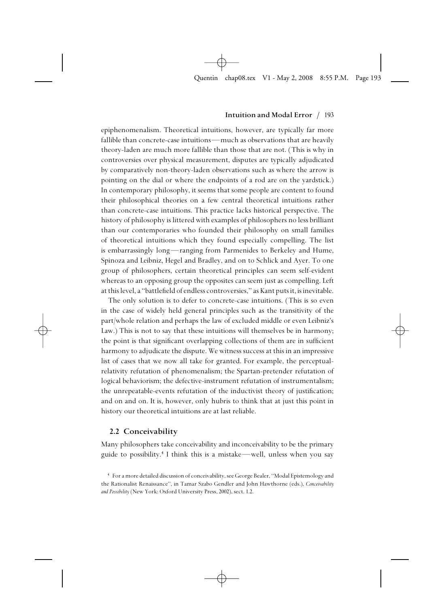epiphenomenalism. Theoretical intuitions, however, are typically far more fallible than concrete-case intuitions—much as observations that are heavily theory-laden are much more fallible than those that are not. (This is why in controversies over physical measurement, disputes are typically adjudicated by comparatively non-theory-laden observations such as where the arrow is pointing on the dial or where the endpoints of a rod are on the yardstick.) In contemporary philosophy, it seems that some people are content to found their philosophical theories on a few central theoretical intuitions rather than concrete-case intuitions. This practice lacks historical perspective. The history of philosophy is littered with examples of philosophers no less brilliant than our contemporaries who founded their philosophy on small families of theoretical intuitions which they found especially compelling. The list is embarrassingly long—ranging from Parmenides to Berkeley and Hume, Spinoza and Leibniz, Hegel and Bradley, and on to Schlick and Ayer. To one group of philosophers, certain theoretical principles can seem self-evident whereas to an opposing group the opposites can seem just as compelling. Left at this level, a ''battlefield of endless controversies,'' as Kant puts it, is inevitable.

The only solution is to defer to concrete-case intuitions. (This is so even in the case of widely held general principles such as the transitivity of the part/whole relation and perhaps the law of excluded middle or even Leibniz's Law.) This is not to say that these intuitions will themselves be in harmony; the point is that significant overlapping collections of them are in sufficient harmony to adjudicate the dispute. We witness success at this in an impressive list of cases that we now all take for granted. For example, the perceptualrelativity refutation of phenomenalism; the Spartan-pretender refutation of logical behaviorism; the defective-instrument refutation of instrumentalism; the unrepeatable-events refutation of the inductivist theory of justification; and on and on. It is, however, only hubris to think that at just this point in history our theoretical intuitions are at last reliable.

# **2.2 Conceivability**

Many philosophers take conceivability and inconceivability to be the primary guide to possibility.<sup>4</sup> I think this is a mistake—well, unless when you say

⁴ For a more detailed discussion of conceivability, see George Bealer, ''Modal Epistemology and the Rationalist Renaissance'', in Tamar Szabo Gendler and John Hawthorne (eds.), *Conceivability and Possibility* (New York: Oxford University Press, 2002), sect. 1.2.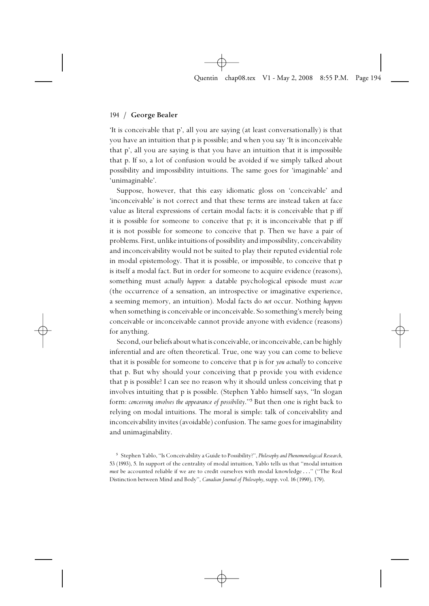# 194 **/ George Bealer**

'It is conceivable that p', all you are saying (at least conversationally) is that you have an intuition that p is possible; and when you say 'It is inconceivable that p', all you are saying is that you have an intuition that it is impossible that p. If so, a lot of confusion would be avoided if we simply talked about possibility and impossibility intuitions. The same goes for 'imaginable' and 'unimaginable'.

Suppose, however, that this easy idiomatic gloss on 'conceivable' and 'inconceivable' is not correct and that these terms are instead taken at face value as literal expressions of certain modal facts: it is conceivable that p iff it is possible for someone to conceive that p; it is inconceivable that p iff it is not possible for someone to conceive that p. Then we have a pair of problems. First, unlike intuitions of possibility and impossibility, conceivability and inconceivability would not be suited to play their reputed evidential role in modal epistemology. That it is possible, or impossible, to conceive that p is itself a modal fact. But in order for someone to acquire evidence (reasons), something must *actually happen*: a datable psychological episode must *occur* (the occurrence of a sensation, an introspective or imaginative experience, a seeming memory, an intuition). Modal facts do *not* occur. Nothing *happens* when something is conceivable or inconceivable. So something's merely being conceivable or inconceivable cannot provide anyone with evidence (reasons) for anything.

Second, our beliefs about what is conceivable, or inconceivable, can be highly inferential and are often theoretical. True, one way you can come to believe that it is possible for someone to conceive that p is for *you actually* to conceive that p. But why should your conceiving that p provide you with evidence that p is possible? I can see no reason why it should unless conceiving that p involves intuiting that p is possible. (Stephen Yablo himself says, ''In slogan form: *conceiving involves the appearance of possibility*."<sup>5</sup> But then one is right back to relying on modal intuitions. The moral is simple: talk of conceivability and inconceivability invites (avoidable) confusion. The same goes for imaginability and unimaginability.

⁵ Stephen Yablo, ''Is Conceivability a Guide to Possibility?'', *Philosophy and Phenomenological Research*, 53 (1993), 5. In support of the centrality of modal intuition, Yablo tells us that ''modal intuition *must* be accounted reliable if we are to credit ourselves with modal knowledge*...*'' (''The Real Distinction between Mind and Body'', *Canadian Journal of Philosophy*, supp. vol. 16 (1990), 179).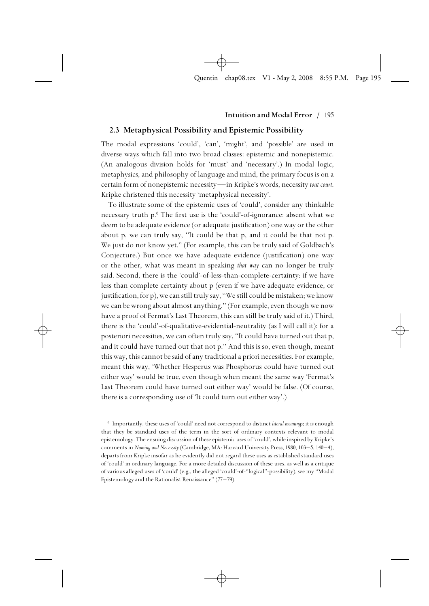# **2.3 Metaphysical Possibility and Epistemic Possibility**

The modal expressions 'could', 'can', 'might', and 'possible' are used in diverse ways which fall into two broad classes: epistemic and nonepistemic. (An analogous division holds for 'must' and 'necessary'.) In modal logic, metaphysics, and philosophy of language and mind, the primary focus is on a certain form of nonepistemic necessity—in Kripke's words, necessity *tout court*. Kripke christened this necessity 'metaphysical necessity'.

To illustrate some of the epistemic uses of 'could', consider any thinkable necessary truth p.<sup>6</sup> The first use is the 'could'-of-ignorance: absent what we deem to be adequate evidence (or adequate justification) one way or the other about p, we can truly say, ''It could be that p, and it could be that not p. We just do not know yet.'' (For example, this can be truly said of Goldbach's Conjecture.) But once we have adequate evidence (justification) one way or the other, what was meant in speaking *that way* can no longer be truly said. Second, there is the 'could'-of-less-than-complete-certainty: if we have less than complete certainty about p (even if we have adequate evidence, or justification, for p), we can still truly say, ''We still could be mistaken; we know we can be wrong about almost anything.'' (For example, even though we now have a proof of Fermat's Last Theorem, this can still be truly said of it.) Third, there is the 'could'-of-qualitative-evidential-neutrality (as I will call it): for a posteriori necessities, we can often truly say, ''It could have turned out that p, and it could have turned out that not p.'' And this is so, even though, meant this way, this cannot be said of any traditional a priori necessities. For example, meant this way, 'Whether Hesperus was Phosphorus could have turned out either way' would be true, even though when meant the same way 'Fermat's Last Theorem could have turned out either way' would be false. (Of course, there is a corresponding use of 'It could turn out either way'.)

⁶ Importantly, these uses of 'could' need not correspond to distinct *literal meanings*; it is enough that they be standard uses of the term in the sort of ordinary contexts relevant to modal epistemology. The ensuing discussion of these epistemic uses of 'could', while inspired by Kripke's comments in *Naming and Necessity* (Cambridge, MA: Harvard University Press, 1980, 103–5, 140–4), departs from Kripke insofar as he evidently did not regard these uses as established standard uses of 'could' in ordinary language. For a more detailed discussion of these uses, as well as a critique of various alleged uses of 'could' (e.g., the alleged 'could'-of-''logical''-possibility), see my ''Modal Epistemology and the Rationalist Renaissance'' (77–79).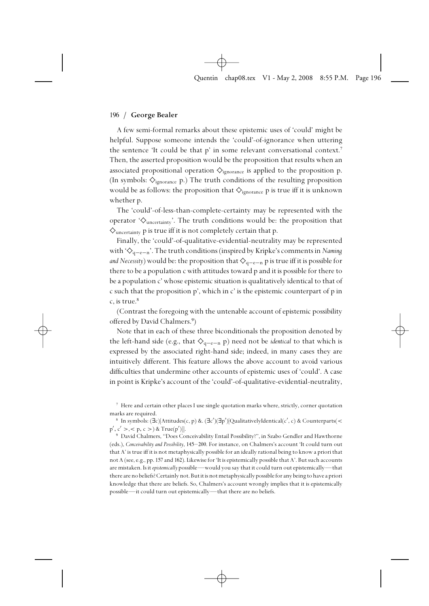# 196 **/ George Bealer**

A few semi-formal remarks about these epistemic uses of 'could' might be helpful. Suppose someone intends the 'could'-of-ignorance when uttering the sentence 'It could be that p' in some relevant conversational context.<sup>7</sup> Then, the asserted proposition would be the proposition that results when an associated propositional operation  $\Diamond_{\text{ignorance}}$  is applied to the proposition p. (In symbols:  $\Diamond_{\text{ignorance}}$  p.) The truth conditions of the resulting proposition would be as follows: the proposition that  $\diamondsuit_{\text{ignorance}}$  p is true iff it is unknown whether p.

The 'could'-of-less-than-complete-certainty may be represented with the operator ' $\Diamond$ <sub>uncertainty</sub>'. The truth conditions would be: the proposition that  $\diamondsuit$ <sub>uncertainty</sub> p is true iff it is not completely certain that p.

Finally, the 'could'-of-qualitative-evidential-neutrality may be represented with ' $\diamondsuit$ <sub>q−e−n</sub>'. The truth conditions (inspired by Kripke's comments in *Naming and Necessity*) would be: the proposition that  $\diamondsuit$ <sub>q−e−n</sub> p is true iff it is possible for there to be a population c with attitudes toward p and it is possible for there to be a population c' whose epistemic situation is qualitatively identical to that of c such that the proposition p', which in c' is the epistemic counterpart of p in c, is true.<sup>8</sup>

(Contrast the foregoing with the untenable account of epistemic possibility offered by David Chalmers.<sup>9</sup>)

Note that in each of these three biconditionals the proposition denoted by the left-hand side (e.g., that  $\diamondsuit_{q-e-n}$  p) need not be *identical* to that which is expressed by the associated right-hand side; indeed, in many cases they are intuitively different. This feature allows the above account to avoid various difficulties that undermine other accounts of epistemic uses of 'could'. A case in point is Kripke's account of the 'could'-of-qualitative-evidential-neutrality,

⁷ Here and certain other places I use single quotation marks where, strictly, corner quotation marks are required.

⁸ In symbols: (∃c)[Attitudes(c, p) &. (∃c )(∃p )[QualitativelyIdentical(c , c) & Counterparts(*<* p *,*c *>*,*<* p*,*c *>*) & True(p )]].

<sup>9</sup> David Chalmers, "Does Conceivability Entail Possibility?", in Szabo Gendler and Hawthorne (eds.), *Conceivability and Possibility*, 145–200. For instance, on Chalmers's account 'It could turn out that A' is true iff it is not metaphysically possible for an ideally rational being to know a priori that not A (see, e.g., pp. 157 and 162). Likewise for 'It is epistemically possible that A'. But such accounts are mistaken. Is it *epistemically* possible—would you say that it could turn out epistemically—that there are no beliefs? Certainly not. But it is not metaphysically possible for any being to have a priori knowledge that there are beliefs. So, Chalmers's account wrongly implies that it is epistemically possible—it could turn out epistemically—that there are no beliefs.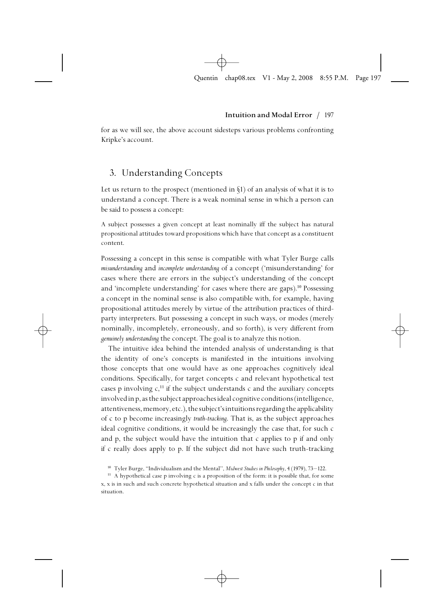for as we will see, the above account sidesteps various problems confronting Kripke's account.

# 3. Understanding Concepts

Let us return to the prospect (mentioned in  $\S$ 1) of an analysis of what it is to understand a concept. There is a weak nominal sense in which a person can be said to possess a concept:

A subject possesses a given concept at least nominally iff the subject has natural propositional attitudes toward propositions which have that concept as a constituent content.

Possessing a concept in this sense is compatible with what Tyler Burge calls *misunderstanding* and *incomplete understanding* of a concept ('misunderstanding' for cases where there are errors in the subject's understanding of the concept and 'incomplete understanding' for cases where there are gaps).<sup>10</sup> Possessing a concept in the nominal sense is also compatible with, for example, having propositional attitudes merely by virtue of the attribution practices of thirdparty interpreters. But possessing a concept in such ways, or modes (merely nominally, incompletely, erroneously, and so forth), is very different from *genuinely understanding* the concept. The goal is to analyze this notion.

The intuitive idea behind the intended analysis of understanding is that the identity of one's concepts is manifested in the intuitions involving those concepts that one would have as one approaches cognitively ideal conditions. Specifically, for target concepts c and relevant hypothetical test cases p involving  $c<sub>1</sub>$ <sup>11</sup> if the subject understands c and the auxiliary concepts involved in p, as the subject approaches ideal cognitive conditions (intelligence, attentiveness, memory, etc.), the subject'sintuitions regarding the applicability of c to p become increasingly *truth-tracking*. That is, as the subject approaches ideal cognitive conditions, it would be increasingly the case that, for such c and p, the subject would have the intuition that c applies to p if and only if c really does apply to p. If the subject did not have such truth-tracking

<sup>&</sup>lt;sup>10</sup> Tyler Burge, "Individualism and the Mental", *Midwest Studies in Philosophy*, 4 (1979), 73-122.

 $11$  A hypothetical case p involving c is a proposition of the form: it is possible that, for some x, x is in such and such concrete hypothetical situation and x falls under the concept c in that situation.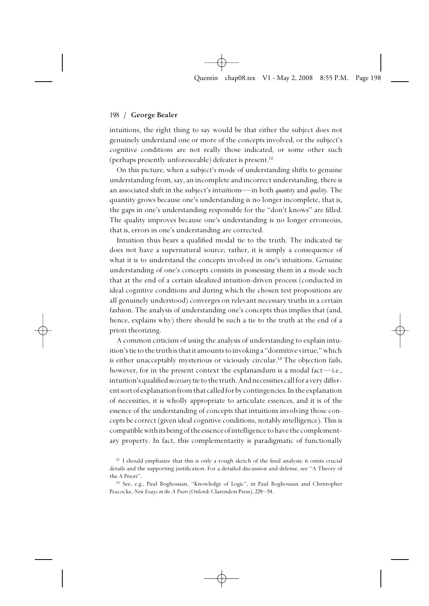# 198 **/ George Bealer**

intuitions, the right thing to say would be that either the subject does not genuinely understand one or more of the concepts involved, or the subject's cognitive conditions are not really those indicated, or some other such (perhaps presently unforeseeable) defeater is present.<sup>12</sup>

On this picture, when a subject's mode of understanding shifts to genuine understanding from, say, an incomplete and incorrect understanding, there is an associated shift in the subject's intuitions—in both *quantity* and *quality*. The quantity grows because one's understanding is no longer incomplete, that is, the gaps in one's understanding responsible for the ''don't knows'' are filled. The quality improves because one's understanding is no longer erroneous, that is, errors in one's understanding are corrected.

Intuition thus bears a qualified modal tie to the truth. The indicated tie does not have a supernatural source; rather, it is simply a consequence of what it is to understand the concepts involved in one's intuitions. Genuine understanding of one's concepts consists in possessing them in a mode such that at the end of a certain idealized intuition-driven process (conducted in ideal cognitive conditions and during which the chosen test propositions are all genuinely understood) converges on relevant necessary truths in a certain fashion. The analysis of understanding one's concepts thus implies that (and, hence, explains why) there should be such a tie to the truth at the end of a priori theorizing.

A common criticism of using the analysis of understanding to explain intuition's tie to the truth is that it amounts to invoking a ''dormitive virtue,'' which is either unacceptably mysterious or viciously circular.<sup>13</sup> The objection fails, however, for in the present context the explanandum is a modal fact—i.e., intuition's qualified*necessary*tie to the truth. And necessities call for a very different sort of explanation from that called for by contingencies. In the explanation of necessities, it is wholly appropriate to articulate essences, and it is of the essence of the understanding of concepts that intuitions involving those concepts be correct (given ideal cognitive conditions, notably intelligence). This is compatible with its being of the essence of intelligence to have the complementary property. In fact, this complementarity is paradigmatic of functionally

 $12$  I should emphasize that this is only a rough sketch of the final analysis; it omits crucial details and the supporting justification. For a detailed discussion and defense, see ''A Theory of the A Priori''.

<sup>&</sup>lt;sup>13</sup> See, e.g., Paul Boghossian, "Knowledge of Logic", in Paul Boghossian and Christopher Peacocke, *New Essays on the A Priori* (Oxford: Clarendon Press), 229–54.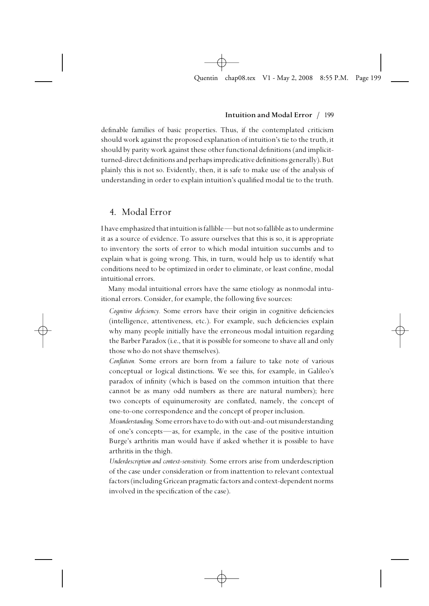definable families of basic properties. Thus, if the contemplated criticism should work against the proposed explanation of intuition's tie to the truth, it should by parity work against these other functional definitions (and implicitturned-direct definitions and perhaps impredicative definitions generally). But plainly this is not so. Evidently, then, it is safe to make use of the analysis of understanding in order to explain intuition's qualified modal tie to the truth.

# 4. Modal Error

I have emphasized that intuition is fallible—but not so fallible as to undermine it as a source of evidence. To assure ourselves that this is so, it is appropriate to inventory the sorts of error to which modal intuition succumbs and to explain what is going wrong. This, in turn, would help us to identify what conditions need to be optimized in order to eliminate, or least confine, modal intuitional errors.

Many modal intuitional errors have the same etiology as nonmodal intuitional errors. Consider, for example, the following five sources:

*Cognitive deficiency.* Some errors have their origin in cognitive deficiencies (intelligence, attentiveness, etc.). For example, such deficiencies explain why many people initially have the erroneous modal intuition regarding the Barber Paradox (i.e., that it is possible for someone to shave all and only those who do not shave themselves).

*Conflation.* Some errors are born from a failure to take note of various conceptual or logical distinctions. We see this, for example, in Galileo's paradox of infinity (which is based on the common intuition that there cannot be as many odd numbers as there are natural numbers); here two concepts of equinumerosity are conflated, namely, the concept of one-to-one correspondence and the concept of proper inclusion.

*Misunderstanding.* Some errors have to do with out-and-out misunderstanding of one's concepts—as, for example, in the case of the positive intuition Burge's arthritis man would have if asked whether it is possible to have arthritis in the thigh.

*Underdescription and context-sensitivity.* Some errors arise from underdescription of the case under consideration or from inattention to relevant contextual factors (including Gricean pragmatic factors and context-dependent norms involved in the specification of the case).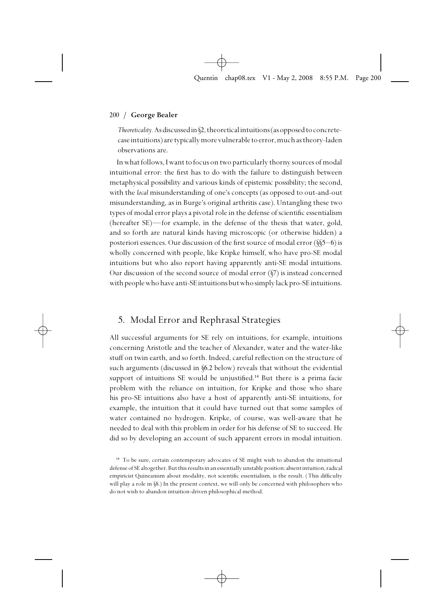# 200 **/ George Bealer**

*Theoreticality.*As discussed in §2, theoretical intuitions (as opposed to concretecase intuitions) are typically more vulnerable to error, much as theory-laden observations are.

In what follows, I want to focus on two particularly thorny sources of modal intuitional error: the first has to do with the failure to distinguish between metaphysical possibility and various kinds of epistemic possibility; the second, with the *local* misunderstanding of one's concepts (as opposed to out-and-out misunderstanding, as in Burge's original arthritis case). Untangling these two types of modal error plays a pivotal role in the defense of scientific essentialism (hereafter SE)—for example, in the defense of the thesis that water, gold, and so forth are natural kinds having microscopic (or otherwise hidden) a posteriori essences. Our discussion of the first source of modal error (§§5–6) is wholly concerned with people, like Kripke himself, who have pro-SE modal intuitions but who also report having apparently anti-SE modal intuitions. Our discussion of the second source of modal error (§7) is instead concerned with people who have anti-SE intuitions but who simply lack pro-SE intuitions.

# 5. Modal Error and Rephrasal Strategies

All successful arguments for SE rely on intuitions, for example, intuitions concerning Aristotle and the teacher of Alexander, water and the water-like stuff on twin earth, and so forth. Indeed, careful reflection on the structure of such arguments (discussed in §6.2 below) reveals that without the evidential support of intuitions SE would be unjustified.<sup>14</sup> But there is a prima facie problem with the reliance on intuition, for Kripke and those who share his pro-SE intuitions also have a host of apparently anti-SE intuitions, for example, the intuition that it could have turned out that some samples of water contained no hydrogen. Kripke, of course, was well-aware that he needed to deal with this problem in order for his defense of SE to succeed. He did so by developing an account of such apparent errors in modal intuition.

<sup>&</sup>lt;sup>14</sup> To be sure, certain contemporary advocates of SE might wish to abandon the intuitional defense of SE altogether. But this results in an essentially unstable position: absent intuition, radical empiricist Quineanism about modality, not scientific essentialism, is the result. (This difficulty will play a role in §8.) In the present context, we will only be concerned with philosophers who do not wish to abandon intuition-driven philosophical method.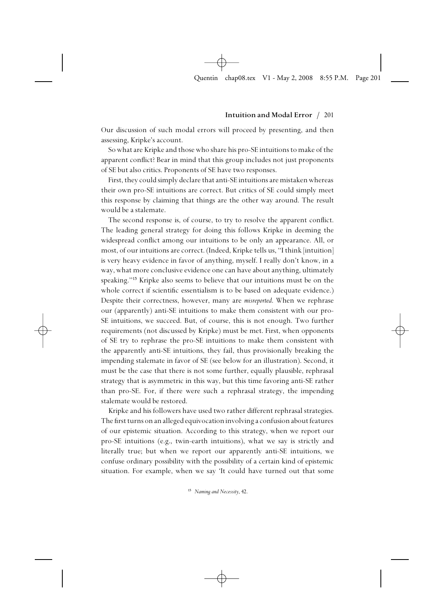Our discussion of such modal errors will proceed by presenting, and then assessing, Kripke's account.

So what are Kripke and those who share his pro-SE intuitions to make of the apparent conflict? Bear in mind that this group includes not just proponents of SE but also critics. Proponents of SE have two responses.

First, they could simply declare that anti-SE intuitions are mistaken whereas their own pro-SE intuitions are correct. But critics of SE could simply meet this response by claiming that things are the other way around. The result would be a stalemate.

The second response is, of course, to try to resolve the apparent conflict. The leading general strategy for doing this follows Kripke in deeming the widespread conflict among our intuitions to be only an appearance. All, or most, of our intuitions are correct. (Indeed, Kripke tells us, ''I think [intuition] is very heavy evidence in favor of anything, myself. I really don't know, in a way, what more conclusive evidence one can have about anything, ultimately speaking."<sup>15</sup> Kripke also seems to believe that our intuitions must be on the whole correct if scientific essentialism is to be based on adequate evidence.) Despite their correctness, however, many are *misreported*. When we rephrase our (apparently) anti-SE intuitions to make them consistent with our pro-SE intuitions, we succeed. But, of course, this is not enough. Two further requirements (not discussed by Kripke) must be met. First, when opponents of SE try to rephrase the pro-SE intuitions to make them consistent with the apparently anti-SE intuitions, they fail, thus provisionally breaking the impending stalemate in favor of SE (see below for an illustration). Second, it must be the case that there is not some further, equally plausible, rephrasal strategy that is asymmetric in this way, but this time favoring anti-SE rather than pro-SE. For, if there were such a rephrasal strategy, the impending stalemate would be restored.

Kripke and his followers have used two rather different rephrasal strategies. The first turns on an alleged equivocation involving a confusion about features of our epistemic situation. According to this strategy, when we report our pro-SE intuitions (e.g., twin-earth intuitions), what we say is strictly and literally true; but when we report our apparently anti-SE intuitions, we confuse ordinary possibility with the possibility of a certain kind of epistemic situation. For example, when we say 'It could have turned out that some

<sup>15</sup> Naming and Necessity, 42.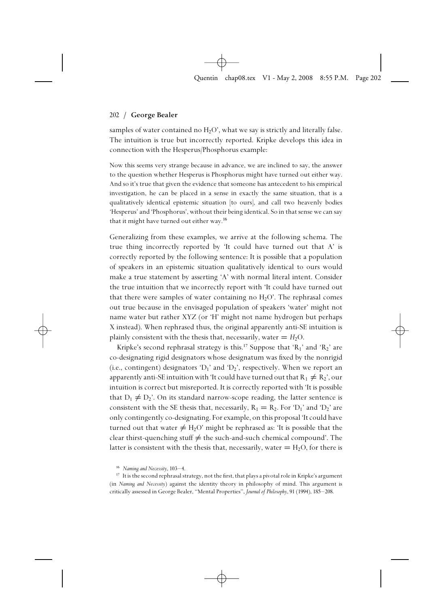# 202 **/ George Bealer**

samples of water contained no  $H_2O'$ , what we say is strictly and literally false. The intuition is true but incorrectly reported. Kripke develops this idea in connection with the Hesperus/Phosphorus example:

Now this seems very strange because in advance, we are inclined to say, the answer to the question whether Hesperus is Phosphorus might have turned out either way. And so it's true that given the evidence that someone has antecedent to his empirical investigation, he can be placed in a sense in exactly the same situation, that is a qualitatively identical epistemic situation [to ours], and call two heavenly bodies 'Hesperus' and 'Phosphorus', without their being identical. So in that sense we can say that it might have turned out either way.<sup>16</sup>

Generalizing from these examples, we arrive at the following schema. The true thing incorrectly reported by 'It could have turned out that A' is correctly reported by the following sentence: It is possible that a population of speakers in an epistemic situation qualitatively identical to ours would make a true statement by asserting 'A' with normal literal intent. Consider the true intuition that we incorrectly report with 'It could have turned out that there were samples of water containing no  $H_2O'$ . The rephrasal comes out true because in the envisaged population of speakers 'water' might not name water but rather XYZ (or 'H' might not name hydrogen but perhaps X instead). When rephrased thus, the original apparently anti-SE intuition is plainly consistent with the thesis that, necessarily, water  $= H_2O$ .

Kripke's second rephrasal strategy is this.<sup>17</sup> Suppose that 'R<sub>1</sub>' and 'R<sub>2</sub>' are co-designating rigid designators whose designatum was fixed by the nonrigid (i.e., contingent) designators ' $D_1$ ' and ' $D_2$ ', respectively. When we report an apparently anti-SE intuition with 'It could have turned out that  $R_1 \neq R_2$ ', our intuition is correct but misreported. It is correctly reported with 'It is possible that  $D_1 \neq D_2$ . On its standard narrow-scope reading, the latter sentence is consistent with the SE thesis that, necessarily,  $R_1 = R_2$ . For 'D<sub>1</sub>' and 'D<sub>2</sub>' are only contingently co-designating. For example, on this proposal 'It could have turned out that water  $\neq$  H<sub>2</sub>O' might be rephrased as: 'It is possible that the clear thirst-quenching stuff  $\neq$  the such-and-such chemical compound'. The latter is consistent with the thesis that, necessarily, water  $=$  H<sub>2</sub>O, for there is

<sup>&</sup>lt;sup>16</sup> Naming and Necessity, 103-4.

<sup>&</sup>lt;sup>17</sup> It is the second rephrasal strategy, not the first, that plays a pivotal role in Kripke's argument (in *Naming and Necessity*) against the identity theory in philosophy of mind. This argument is critically assessed in George Bealer, ''Mental Properties'', *Journal of Philosophy*, 91 (1994), 185–208.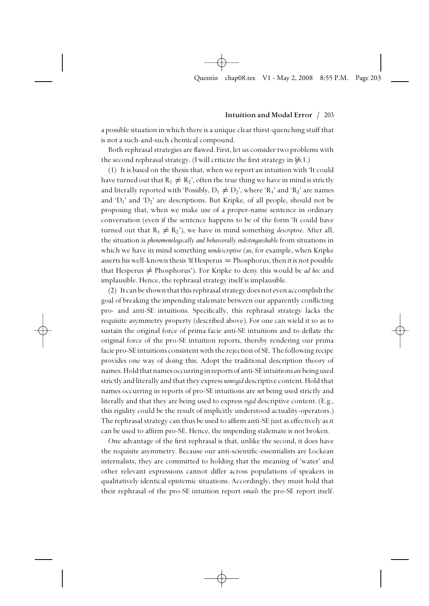a possible situation in which there is a unique clear thirst-quenching stuff that is not a such-and-such chemical compound.

Both rephrasal strategies are flawed. First, let us consider two problems with the second rephrasal strategy. (I will criticize the first strategy in §6.1.)

(1) It is based on the thesis that, when we report an intuition with 'It could have turned out that  $R_1 \neq R_2$ ', often the true thing we have in mind is strictly and literally reported with 'Possibly,  $D_1 \neq D_2$ ', where 'R<sub>1</sub>' and 'R<sub>2</sub>' are names and ' $D_1$ ' and ' $D_2$ ' are descriptions. But Kripke, of all people, should not be proposing that, when we make use of a proper-name sentence in ordinary conversation (even if the sentence happens to be of the form 'It could have turned out that  $R_1 \neq R_2$ '), we have in mind something *descriptive*. After all, the situation is *phenomenologically and behaviorally indistinguishable* from situations in which we have in mind something *nondescriptive* (as, for example, when Kripke asserts his well-known thesis 'If Hesperus  $=$  Phosphorus, then it is not possible that Hesperus  $\neq$  Phosphorus'). For Kripke to deny this would be *ad hoc* and implausible. Hence, the rephrasal strategy itself is implausible.

(2) It can be shown that this rephrasal strategy does not even accomplish the goal of breaking the impending stalemate between our apparently conflicting pro- and anti-SE intuitions. Specifically, this rephrasal strategy lacks the requisite asymmetry property (described above). For one can wield it so as to sustain the original force of prima facie anti-SE intuitions and to deflate the original force of the pro-SE intuition reports, thereby rendering our prima facie pro-SE intuitions consistent with the rejection of SE. The following recipe provides one way of doing this. Adopt the traditional description theory of names. Hold that names occurring in reports of anti-SE intuitions*are* being used strictly and literally and that they express*nonrigid* descriptive content. Hold that names occurring in reports of pro-SE intuitions are *not* being used strictly and literally and that they are being used to express *rigid* descriptive content. (E.g., this rigidity could be the result of implicitly understood actuality-operators.) The rephrasal strategy can thus be used to affirm anti-SE just as effectively as it can be used to affirm pro-SE. Hence, the impending stalemate is not broken.

One advantage of the first rephrasal is that, unlike the second, it does have the requisite asymmetry. Because our anti-scientific-essentialists are Lockean internalists, they are committed to holding that the meaning of 'water' and other relevant expressions cannot differ across populations of speakers in qualitatively identical epistemic situations. Accordingly, they must hold that their rephrasal of the pro-SE intuition report *entails* the pro-SE report itself.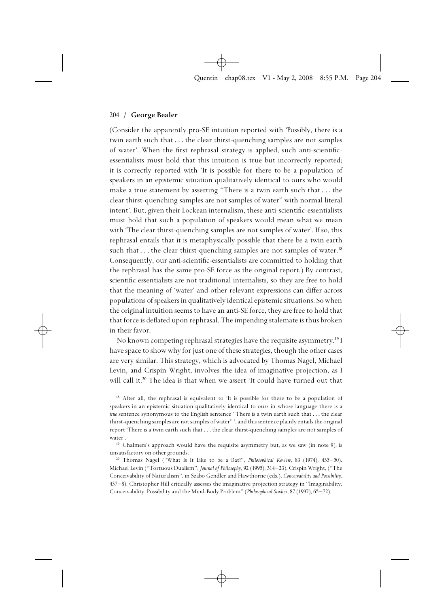# 204 **/ George Bealer**

(Consider the apparently pro-SE intuition reported with 'Possibly, there is a twin earth such that *...* the clear thirst-quenching samples are not samples of water'. When the first rephrasal strategy is applied, such anti-scientificessentialists must hold that this intuition is true but incorrectly reported; it is correctly reported with 'It is possible for there to be a population of speakers in an epistemic situation qualitatively identical to ours who would make a true statement by asserting ''There is a twin earth such that *...* the clear thirst-quenching samples are not samples of water'' with normal literal intent'. But, given their Lockean internalism, these anti-scientific-essentialists must hold that such a population of speakers would mean what we mean with 'The clear thirst-quenching samples are not samples of water'. If so, this rephrasal entails that it is metaphysically possible that there be a twin earth such that  $\dots$  the clear thirst-quenching samples are not samples of water.<sup>18</sup> Consequently, our anti-scientific-essentialists are committed to holding that the rephrasal has the same pro-SE force as the original report.) By contrast, scientific essentialists are not traditional internalists, so they are free to hold that the meaning of 'water' and other relevant expressions can differ across populations of speakers in qualitatively identical epistemic situations. So when the original intuition seems to have an anti-SE force, they are free to hold that that force is deflated upon rephrasal. The impending stalemate is thus broken in their favor.

No known competing rephrasal strategies have the requisite asymmetry.<sup>19</sup> I have space to show why for just one of these strategies, though the other cases are very similar. This strategy, which is advocated by Thomas Nagel, Michael Levin, and Crispin Wright, involves the idea of imaginative projection, as I will call it.<sup>20</sup> The idea is that when we assert 'It could have turned out that

<sup>18</sup> After all, the rephrasal is equivalent to 'It is possible for there to be a population of speakers in an epistemic situation qualitatively identical to ours in whose language there is a *true* sentence synonymous to the English sentence ''There is a twin earth such that *...* the clear thirst-quenching samples are not samples of water'' ', and this sentence plainly entails the original report 'There is a twin earth such that *...* the clear thirst-quenching samples are not samples of water'.

<sup>19</sup> Chalmers's approach would have the requisite asymmetry but, as we saw (in note 9), is unsatisfactory on other grounds.

²⁰ Thomas Nagel (''What Is It Like to be a Bat?'', *Philosophical Review*, 83 (1974), 435–50). Michael Levin (''Tortuous Dualism'', *Journal of Philosophy*, 92 (1995), 314–23). Crispin Wright, (''The Conceivability of Naturalism'', in Szabo Gendler and Hawthorne (eds.), *Conceivability and Possibility*, 437–8). Christopher Hill critically assesses the imaginative projection strategy in ''Imaginability, Conceivability, Possibility and the Mind-Body Problem'' (*Philosophical Studies*, 87 (1997), 65–72).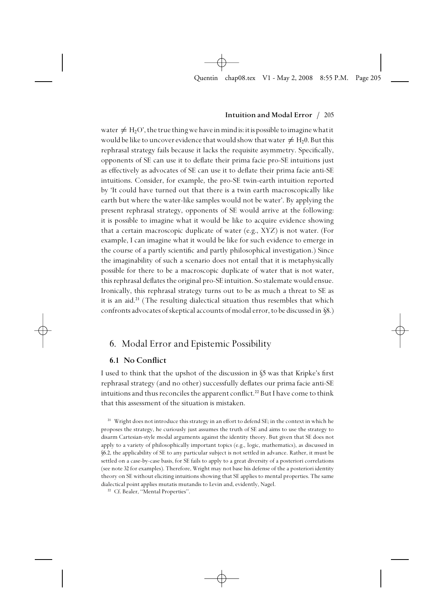water  $\neq$  H<sub>2</sub>O', the true thing we have in mind is: it is possible to imagine what it would be like to uncover evidence that would show that water  $\neq H_20$ . But this rephrasal strategy fails because it lacks the requisite asymmetry. Specifically, opponents of SE can use it to deflate their prima facie pro-SE intuitions just as effectively as advocates of SE can use it to deflate their prima facie anti-SE intuitions. Consider, for example, the pro-SE twin-earth intuition reported by 'It could have turned out that there is a twin earth macroscopically like earth but where the water-like samples would not be water'. By applying the present rephrasal strategy, opponents of SE would arrive at the following: it is possible to imagine what it would be like to acquire evidence showing that a certain macroscopic duplicate of water (e.g., XYZ) is not water. (For example, I can imagine what it would be like for such evidence to emerge in the course of a partly scientific and partly philosophical investigation.) Since the imaginability of such a scenario does not entail that it is metaphysically possible for there to be a macroscopic duplicate of water that is not water, this rephrasal deflates the original pro-SE intuition. So stalemate would ensue. Ironically, this rephrasal strategy turns out to be as much a threat to SE as it is an aid.<sup>21</sup> (The resulting dialectical situation thus resembles that which confronts advocates of skeptical accounts of modal error, to be discussed in §8.)

# 6. Modal Error and Epistemic Possibility

# **6.1 No Conflict**

I used to think that the upshot of the discussion in §5 was that Kripke's first rephrasal strategy (and no other) successfully deflates our prima facie anti-SE intuitions and thus reconciles the apparent conflict.<sup>22</sup> But I have come to think that this assessment of the situation is mistaken.

<sup>21</sup> Wright does not introduce this strategy in an effort to defend SE; in the context in which he proposes the strategy, he curiously just assumes the truth of SE and aims to use the strategy to disarm Cartesian-style modal arguments against the identity theory. But given that SE does not apply to a variety of philosophically important topics (e.g., logic, mathematics), as discussed in §6.2, the applicability of SE to any particular subject is not settled in advance. Rather, it must be settled on a case-by-case basis, for SE fails to apply to a great diversity of a posteriori correlations (see note 32 for examples). Therefore, Wright may not base his defense of the a posteriori identity theory on SE without eliciting intuitions showing that SE applies to mental properties. The same dialectical point applies mutatis mutandis to Levin and, evidently, Nagel.

<sup>22</sup> Cf. Bealer, "Mental Properties".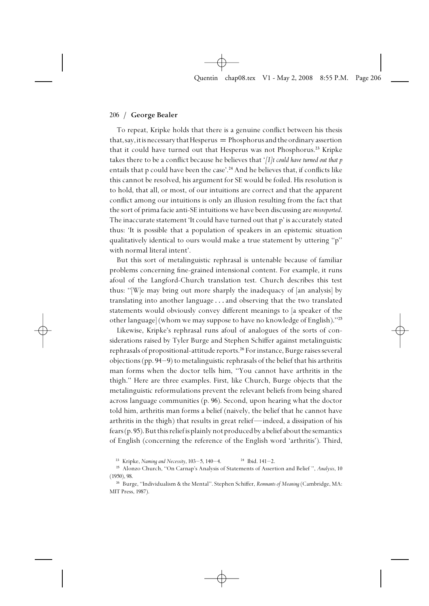# 206 **/ George Bealer**

To repeat, Kripke holds that there is a genuine conflict between his thesis that, say, it is necessary that Hesperus  $=$  Phosphorus and the ordinary assertion that it could have turned out that Hesperus was not Phosphorus.<sup>23</sup> Kripke takes there to be a conflict because he believes that '*[I]t could have turned out that p* entails that p could have been the case'.<sup>24</sup> And he believes that, if conflicts like this cannot be resolved, his argument for SE would be foiled. His resolution is to hold, that all, or most, of our intuitions are correct and that the apparent conflict among our intuitions is only an illusion resulting from the fact that the sort of prima facie anti-SE intuitions we have been discussing are *misreported*. The inaccurate statement 'It could have turned out that p' is accurately stated thus: 'It is possible that a population of speakers in an epistemic situation qualitatively identical to ours would make a true statement by uttering ''p'' with normal literal intent'.

But this sort of metalinguistic rephrasal is untenable because of familiar problems concerning fine-grained intensional content. For example, it runs afoul of the Langford-Church translation test. Church describes this test thus: ''[W]e may bring out more sharply the inadequacy of [an analysis] by translating into another language*...*and observing that the two translated statements would obviously convey different meanings to [a speaker of the other language] (whom we may suppose to have no knowledge of English)."<sup>25</sup>

Likewise, Kripke's rephrasal runs afoul of analogues of the sorts of considerations raised by Tyler Burge and Stephen Schiffer against metalinguistic rephrasals of propositional-attitude reports.<sup>26</sup> For instance, Burge raises several objections (pp. 94–9) to metalinguistic rephrasals of the belief that his arthritis man forms when the doctor tells him, ''You cannot have arthritis in the thigh.'' Here are three examples. First, like Church, Burge objects that the metalinguistic reformulations prevent the relevant beliefs from being shared across language communities (p. 96). Second, upon hearing what the doctor told him, arthritis man forms a belief (naively, the belief that he cannot have arthritis in the thigh) that results in great relief—indeed, a dissipation of his fears (p. 95). But this relief is plainly not produced by a belief about the semantics of English (concerning the reference of the English word 'arthritis'). Third,

<sup>&</sup>lt;sup>23</sup> Kripke, *Naming and Necessity*,  $103-5$ ,  $140-4$ . <sup>24</sup> Ibid.  $141-2$ .

<sup>&</sup>lt;sup>25</sup> Alonzo Church, "On Carnap's Analysis of Statements of Assertion and Belief ", *Analysis*, 10 (1950), 98.

<sup>&</sup>lt;sup>26</sup> Burge, "Individualism & the Mental". Stephen Schiffer, Remnants of Meaning (Cambridge, MA: MIT Press, 1987).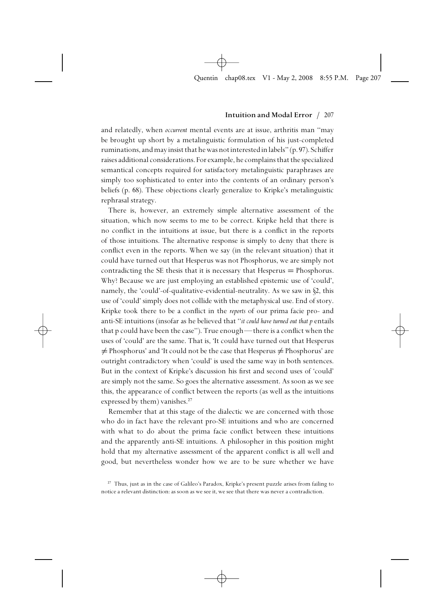and relatedly, when *occurrent* mental events are at issue, arthritis man ''may be brought up short by a metalinguistic formulation of his just-completed ruminations, and may insist that he was not interested in labels'' (p. 97). Schiffer raises additional considerations. For example, he complains that the specialized semantical concepts required for satisfactory metalinguistic paraphrases are simply too sophisticated to enter into the contents of an ordinary person's beliefs (p. 68). These objections clearly generalize to Kripke's metalinguistic rephrasal strategy.

There is, however, an extremely simple alternative assessment of the situation, which now seems to me to be correct. Kripke held that there is no conflict in the intuitions at issue, but there is a conflict in the reports of those intuitions. The alternative response is simply to deny that there is conflict even in the reports. When we say (in the relevant situation) that it could have turned out that Hesperus was not Phosphorus, we are simply not contradicting the SE thesis that it is necessary that Hesperus = Phosphorus. Why? Because we are just employing an established epistemic use of 'could', namely, the 'could'-of-qualitative-evidential-neutrality. As we saw in §2, this use of 'could' simply does not collide with the metaphysical use. End of story. Kripke took there to be a conflict in the *reports* of our prima facie pro- and anti-SE intuitions (insofar as he believed that ''*it could have turned out that p* entails that p could have been the case''). True enough—there is a conflict when the uses of 'could' are the same. That is, 'It could have turned out that Hesperus  $\neq$  Phosphorus' and 'It could not be the case that Hesperus  $\neq$  Phosphorus' are outright contradictory when 'could' is used the same way in both sentences. But in the context of Kripke's discussion his first and second uses of 'could' are simply not the same. So goes the alternative assessment. As soon as we see this, the appearance of conflict between the reports (as well as the intuitions expressed by them) vanishes.<sup>27</sup>

Remember that at this stage of the dialectic we are concerned with those who do in fact have the relevant pro-SE intuitions and who are concerned with what to do about the prima facie conflict between these intuitions and the apparently anti-SE intuitions. A philosopher in this position might hold that my alternative assessment of the apparent conflict is all well and good, but nevertheless wonder how we are to be sure whether we have

<sup>&</sup>lt;sup>27</sup> Thus, just as in the case of Galileo's Paradox, Kripke's present puzzle arises from failing to notice a relevant distinction: as soon as we see it, we see that there was never a contradiction.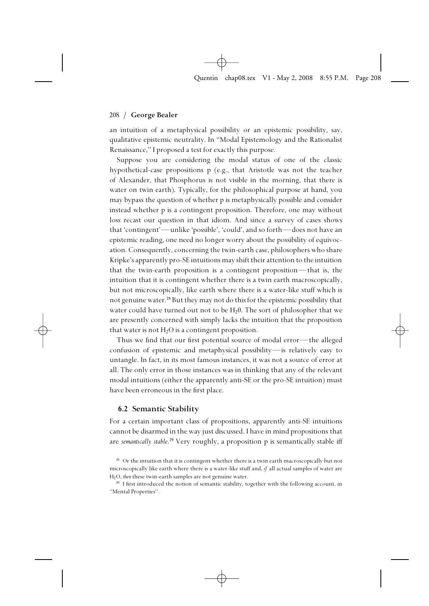# 208 **/ George Bealer**

an intuition of a metaphysical possibility or an epistemic possibility, say, qualitative epistemic neutrality. In ''Modal Epistemology and the Rationalist Renaissance,'' I proposed a test for exactly this purpose.

Suppose you are considering the modal status of one of the classic hypothetical-case propositions p (e.g., that Aristotle was not the teacher of Alexander, that Phosphorus is not visible in the morning, that there is water on twin earth). Typically, for the philosophical purpose at hand, you may bypass the question of whether p is metaphysically possible and consider instead whether p is a contingent proposition. Therefore, one may without loss recast our question in that idiom. And since a survey of cases shows that 'contingent'—unlike 'possible', 'could', and so forth—does not have an epistemic reading, one need no longer worry about the possibility of equivocation. Consequently, concerning the twin-earth case, philosophers who share Kripke's apparently pro-SE intuitions may shift their attention to the intuition that the twin-earth proposition is a contingent proposition—that is, the intuition that it is contingent whether there is a twin earth macroscopically, but not microscopically, like earth where there is a water-like stuff which is not genuine water.<sup>28</sup> But they may not do this for the epistemic possibility that water could have turned out not to be  $H_20$ . The sort of philosopher that we are presently concerned with simply lacks the intuition that the proposition that water is not  $H_2O$  is a contingent proposition.

Thus we find that our first potential source of modal error—the alleged confusion of epistemic and metaphysical possibility—is relatively easy to untangle. In fact, in its most famous instances, it was not a source of error at all. The only error in those instances was in thinking that any of the relevant modal intuitions (either the apparently anti-SE or the pro-SE intuition) must have been erroneous in the first place.

# **6.2 Semantic Stability**

For a certain important class of propositions, apparently anti-SE intuitions cannot be disarmed in the way just discussed. I have in mind propositions that are *semantically stable*.<sup>29</sup> Very roughly, a proposition p is semantically stable iff

<sup>&</sup>lt;sup>28</sup> Or the intuition that it is contingent whether there is a twin earth macroscopically but not microscopically like earth where there is a water-like stuff and, *if* all actual samples of water are H2O, *then* these twin-earth samples are not genuine water.

<sup>&</sup>lt;sup>29</sup> I first introduced the notion of semantic stability, together with the following account, in ''Mental Properties''.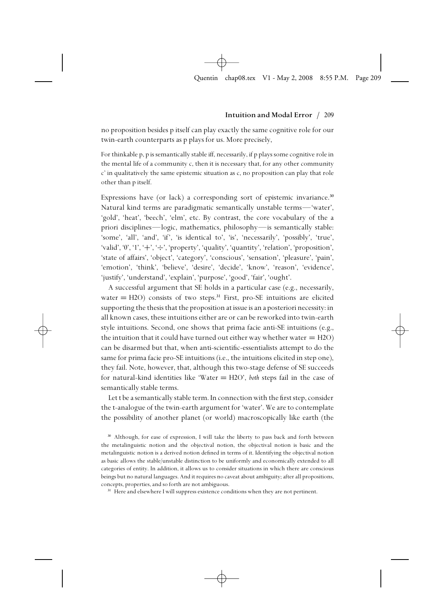no proposition besides p itself can play exactly the same cognitive role for our twin-earth counterparts as p plays for us. More precisely,

For thinkable p, p is semantically stable iff, necessarily, if p plays some cognitive role in the mental life of a community c, then it is necessary that, for any other community c' in qualitatively the same epistemic situation as c, no proposition can play that role other than p itself.

Expressions have (or lack) a corresponding sort of epistemic invariance. $30$ Natural kind terms are paradigmatic semantically unstable terms—'water', 'gold', 'heat', 'beech', 'elm', etc. By contrast, the core vocabulary of the a priori disciplines—logic, mathematics, philosophy—is semantically stable: 'some', 'all', 'and', 'if', 'is identical to', 'is', 'necessarily', 'possibly', 'true', 'valid', '0', '1', '+', '÷', 'property', 'quality', 'quantity', 'relation', 'proposition', 'state of affairs', 'object', 'category', 'conscious', 'sensation', 'pleasure', 'pain', 'emotion', 'think', 'believe', 'desire', 'decide', 'know', 'reason', 'evidence', 'justify', 'understand', 'explain', 'purpose', 'good', 'fair', 'ought'.

A successful argument that SE holds in a particular case (e.g., necessarily, water  $=$  H2O) consists of two steps.<sup>31</sup> First, pro-SE intuitions are elicited supporting the thesis that the proposition at issue is an a posteriori necessity: in all known cases, these intuitions either are or can be reworked into twin-earth style intuitions. Second, one shows that prima facie anti-SE intuitions (e.g., the intuition that it could have turned out either way whether water  $=$  H2O) can be disarmed but that, when anti-scientific-essentialists attempt to do the same for prima facie pro-SE intuitions (i.e., the intuitions elicited in step one), they fail. Note, however, that, although this two-stage defense of SE succeeds for natural-kind identities like 'Water = H2O', *both* steps fail in the case of semantically stable terms.

Let t be a semantically stable term. In connection with the first step, consider the t-analogue of the twin-earth argument for 'water'. We are to contemplate the possibility of another planet (or world) macroscopically like earth (the

<sup>31</sup> Here and elsewhere I will suppress existence conditions when they are not pertinent.

<sup>&</sup>lt;sup>30</sup> Although, for ease of expression, I will take the liberty to pass back and forth between the metalinguistic notion and the objectival notion, the objectival notion is basic and the metalinguistic notion is a derived notion defined in terms of it. Identifying the objectival notion as basic allows the stable/unstable distinction to be uniformly and economically extended to all categories of entity. In addition, it allows us to consider situations in which there are conscious beings but no natural languages. And it requires no caveat about ambiguity; after all propositions, concepts, properties, and so forth are not ambiguous.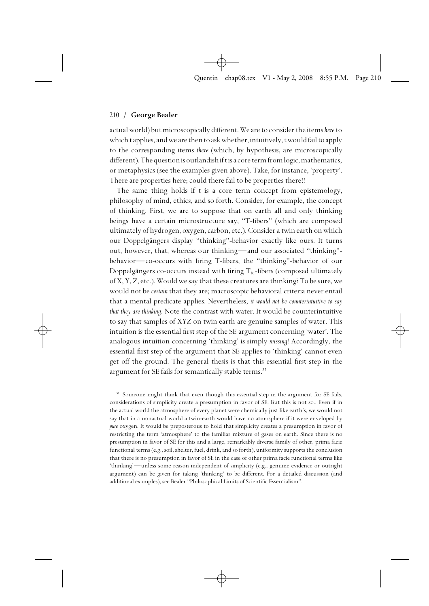# 210 **/ George Bealer**

actual world) but microscopically different. We are to consider the items*here*to which t applies, and we are then to ask whether, intuitively, t would fail to apply to the corresponding items *there* (which, by hypothesis, are microscopically different). The question is outlandish if t is a core term from logic, mathematics, or metaphysics (see the examples given above). Take, for instance, 'property'. There are properties here; could there fail to be properties there?!

The same thing holds if t is a core term concept from epistemology, philosophy of mind, ethics, and so forth. Consider, for example, the concept of thinking. First, we are to suppose that on earth all and only thinking beings have a certain microstructure say, ''T-fibers'' (which are composed ultimately of hydrogen, oxygen, carbon, etc.). Consider a twin earth on which our Doppelgängers display "thinking"-behavior exactly like ours. It turns out, however, that, whereas our thinking—and our associated ''thinking'' behavior—co-occurs with firing T-fibers, the ''thinking''-behavior of our Doppelgängers co-occurs instead with firing  $T_{te}$ -fibers (composed ultimately of X, Y, Z, etc.). Would we say that these creatures are thinking? To be sure, we would not be*certain* that they are; macroscopic behavioral criteria never entail that a mental predicate applies. Nevertheless, *it would not be counterintuitive to say that they are thinking*. Note the contrast with water. It would be counterintuitive to say that samples of XYZ on twin earth are genuine samples of water. This intuition is the essential first step of the SE argument concerning 'water'. The analogous intuition concerning 'thinking' is simply *missing*! Accordingly, the essential first step of the argument that SE applies to 'thinking' cannot even get off the ground. The general thesis is that this essential first step in the argument for SE fails for semantically stable terms.<sup>32</sup>

<sup>32</sup> Someone might think that even though this essential step in the argument for SE fails, considerations of simplicity create a presumption in favor of SE. But this is not so.. Even if in the actual world the atmosphere of every planet were chemically just like earth's, we would not say that in a nonactual world a twin-earth would have no atmosphere if it were enveloped by *pure* oxygen. It would be preposterous to hold that simplicity creates a presumption in favor of restricting the term 'atmosphere' to the familiar mixture of gases on earth. Since there is no presumption in favor of SE for this and a large, remarkably diverse family of other, prima facie functional terms (e.g., soil, shelter, fuel, drink, and so forth), uniformity supports the conclusion that there is no presumption in favor of SE in the case of other prima facie functional terms like 'thinking'—unless some reason independent of simplicity (e.g., genuine evidence or outright argument) can be given for taking 'thinking' to be different. For a detailed discussion (and additional examples), see Bealer ''Philosophical Limits of Scientific Essentialism''.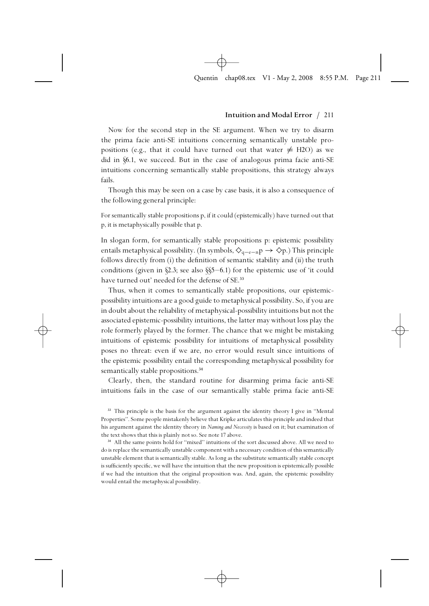Now for the second step in the SE argument. When we try to disarm the prima facie anti-SE intuitions concerning semantically unstable propositions (e.g., that it could have turned out that water  $\neq$  H2O) as we did in §6.1, we succeed. But in the case of analogous prima facie anti-SE intuitions concerning semantically stable propositions, this strategy always fails.

Though this may be seen on a case by case basis, it is also a consequence of the following general principle:

For semantically stable propositions p, if it could (epistemically) have turned out that p, it is metaphysically possible that p.

In slogan form, for semantically stable propositions p: epistemic possibility entails metaphysical possibility. (In symbols,  $\diamondsuit_{q-e-n}p \to \diamondsuit p$ .) This principle follows directly from (i) the definition of semantic stability and (ii) the truth conditions (given in  $\S2.3$ ; see also  $\S5-6.1$ ) for the epistemic use of 'it could have turned out' needed for the defense of SE.<sup>33</sup>

Thus, when it comes to semantically stable propositions, our epistemicpossibility intuitions are a good guide to metaphysical possibility. So, if you are in doubt about the reliability of metaphysical-possibility intuitions but not the associated epistemic-possibility intuitions, the latter may without loss play the role formerly played by the former. The chance that we might be mistaking intuitions of epistemic possibility for intuitions of metaphysical possibility poses no threat: even if we are, no error would result since intuitions of the epistemic possibility entail the corresponding metaphysical possibility for semantically stable propositions.<sup>34</sup>

Clearly, then, the standard routine for disarming prima facie anti-SE intuitions fails in the case of our semantically stable prima facie anti-SE

<sup>&</sup>lt;sup>33</sup> This principle is the basis for the argument against the identity theory I give in "Mental Properties''. Some people mistakenly believe that Kripke articulates this principle and indeed that his argument against the identity theory in *Naming and Necessity* is based on it; but examination of the text shows that this is plainly not so. See note 17 above.

<sup>&</sup>lt;sup>34</sup> All the same points hold for "mixed" intuitions of the sort discussed above. All we need to do is replace the semantically unstable component with a necessary condition of this semantically unstable element that is semantically stable. As long as the substitute semantically stable concept is sufficiently specific, we will have the intuition that the new proposition is epistemically possible if we had the intuition that the original proposition was. And, again, the epistemic possibility would entail the metaphysical possibility.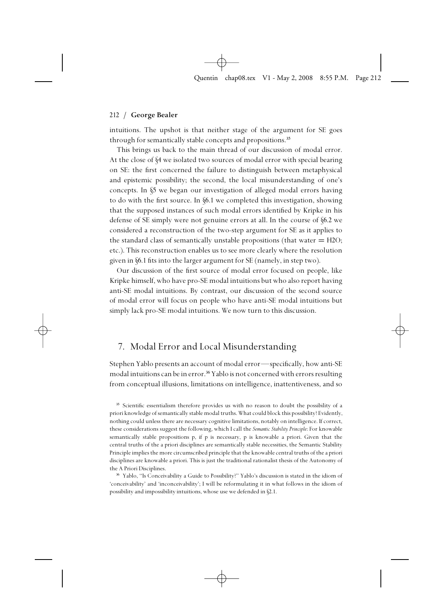# 212 **/ George Bealer**

intuitions. The upshot is that neither stage of the argument for SE goes through for semantically stable concepts and propositions.<sup>35</sup>

This brings us back to the main thread of our discussion of modal error. At the close of §4 we isolated two sources of modal error with special bearing on SE: the first concerned the failure to distinguish between metaphysical and epistemic possibility; the second, the local misunderstanding of one's concepts. In §5 we began our investigation of alleged modal errors having to do with the first source. In §6.1 we completed this investigation, showing that the supposed instances of such modal errors identified by Kripke in his defense of SE simply were not genuine errors at all. In the course of §6.2 we considered a reconstruction of the two-step argument for SE as it applies to the standard class of semantically unstable propositions (that water  $=$  H2O; etc.). This reconstruction enables us to see more clearly where the resolution given in §6.1 fits into the larger argument for SE (namely, in step two).

Our discussion of the first source of modal error focused on people, like Kripke himself, who have pro-SE modal intuitions but who also report having anti-SE modal intuitions. By contrast, our discussion of the second source of modal error will focus on people who have anti-SE modal intuitions but simply lack pro-SE modal intuitions. We now turn to this discussion.

# 7. Modal Error and Local Misunderstanding

Stephen Yablo presents an account of modal error—specifically, how anti-SE modal intuitions can be in error.<sup>36</sup> Yablo is not concerned with errors resulting from conceptual illusions, limitations on intelligence, inattentiveness, and so

<sup>&</sup>lt;sup>35</sup> Scientific essentialism therefore provides us with no reason to doubt the possibility of a priori knowledge of semantically stable modal truths. What could block this possibility? Evidently, nothing could unless there are necessary cognitive limitations, notably on intelligence. If correct, these considerations suggest the following, which I call the *Semantic Stability Principle*: For knowable semantically stable propositions p, if p is necessary, p is knowable a priori. Given that the central truths of the a priori disciplines are semantically stable necessities, the Semantic Stability Principle implies the more circumscribed principle that the knowable central truths of the a priori disciplines are knowable a priori. This is just the traditional rationalist thesis of the Autonomy of the A Priori Disciplines.

<sup>&</sup>lt;sup>36</sup> Yablo, "Is Conceivability a Guide to Possibility?" Yablo's discussion is stated in the idiom of 'conceivability' and 'inconceivability'; I will be reformulating it in what follows in the idiom of possibility and impossibility intuitions, whose use we defended in §2.1.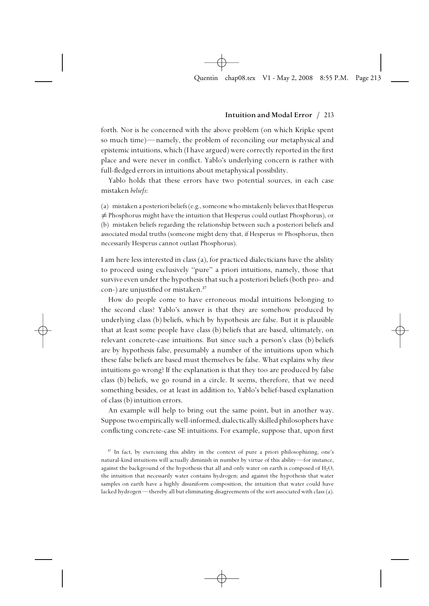forth. Nor is he concerned with the above problem (on which Kripke spent so much time)—namely, the problem of reconciling our metaphysical and epistemic intuitions, which (I have argued) were correctly reported in the first place and were never in conflict. Yablo's underlying concern is rather with full-fledged errors in intuitions about metaphysical possibility.

Yablo holds that these errors have two potential sources, in each case mistaken *beliefs*:

(a) mistaken a posteriori beliefs (e.g., someone who mistakenly believes that Hesperus  $\neq$  Phosphorus might have the intuition that Hesperus could outlast Phosphorus), or (b) mistaken beliefs regarding the relationship between such a posteriori beliefs and associated modal truths (someone might deny that, if Hesperus  $=$  Phosphorus, then necessarily Hesperus cannot outlast Phosphorus).

I am here less interested in class (a), for practiced dialecticians have the ability to proceed using exclusively ''pure'' a priori intuitions, namely, those that survive even under the hypothesis that such a posteriori beliefs (both pro- and con-) are unjustified or mistaken.<sup>37</sup>

How do people come to have erroneous modal intuitions belonging to the second class? Yablo's answer is that they are somehow produced by underlying class (b) beliefs, which by hypothesis are false. But it is plausible that at least some people have class (b) beliefs that are based, ultimately, on relevant concrete-case intuitions. But since such a person's class (b) beliefs are by hypothesis false, presumably a number of the intuitions upon which these false beliefs are based must themselves be false. What explains why *these* intuitions go wrong? If the explanation is that they too are produced by false class (b) beliefs, we go round in a circle. It seems, therefore, that we need something besides, or at least in addition to, Yablo's belief-based explanation of class (b) intuition errors.

An example will help to bring out the same point, but in another way. Suppose two empirically well-informed, dialectically skilled philosophers have conflicting concrete-case SE intuitions. For example, suppose that, upon first

<sup>&</sup>lt;sup>37</sup> In fact, by exercising this ability in the context of pure a priori philosophizing, one's natural-kind intuitions will actually diminish in number by virtue of this ability—for instance, against the background of the hypothesis that all and only water on earth is composed of  $H_2O$ , the intuition that necessarily water contains hydrogen; and against the hypothesis that water samples on earth have a highly disuniform composition, the intuition that water could have lacked hydrogen—thereby all but eliminating disagreements of the sort associated with class (a).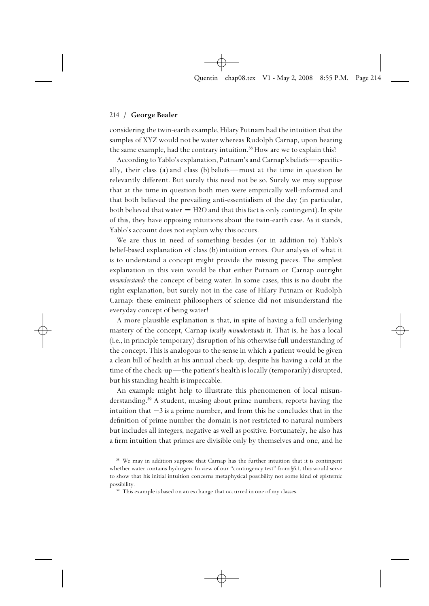# 214 **/ George Bealer**

considering the twin-earth example, Hilary Putnam had the intuition that the samples of XYZ would not be water whereas Rudolph Carnap, upon hearing the same example, had the contrary intuition.<sup>38</sup> How are we to explain this?

According to Yablo's explanation, Putnam's and Carnap's beliefs—specifically, their class (a) and class (b) beliefs—must at the time in question be relevantly different. But surely this need not be so. Surely we may suppose that at the time in question both men were empirically well-informed and that both believed the prevailing anti-essentialism of the day (in particular, both believed that water  $=$  H2O and that this fact is only contingent). In spite of this, they have opposing intuitions about the twin-earth case. As it stands, Yablo's account does not explain why this occurs.

We are thus in need of something besides (or in addition to) Yablo's belief-based explanation of class (b) intuition errors. Our analysis of what it is to understand a concept might provide the missing pieces. The simplest explanation in this vein would be that either Putnam or Carnap outright *misunderstands* the concept of being water. In some cases, this is no doubt the right explanation, but surely not in the case of Hilary Putnam or Rudolph Carnap: these eminent philosophers of science did not misunderstand the everyday concept of being water!

A more plausible explanation is that, in spite of having a full underlying mastery of the concept, Carnap *locally misunderstands* it. That is, he has a local (i.e., in principle temporary) disruption of his otherwise full understanding of the concept. This is analogous to the sense in which a patient would be given a clean bill of health at his annual check-up, despite his having a cold at the time of the check-up—the patient's health is locally (temporarily) disrupted, but his standing health is impeccable.

An example might help to illustrate this phenomenon of local misunderstanding.<sup>39</sup> A student, musing about prime numbers, reports having the intuition that −3 is a prime number, and from this he concludes that in the definition of prime number the domain is not restricted to natural numbers but includes all integers, negative as well as positive. Fortunately, he also has a firm intuition that primes are divisible only by themselves and one, and he

<sup>&</sup>lt;sup>38</sup> We may in addition suppose that Carnap has the further intuition that it is contingent whether water contains hydrogen. In view of our ''contingency test'' from §6.1, this would serve to show that his initial intuition concerns metaphysical possibility not some kind of epistemic possibility.

<sup>&</sup>lt;sup>39</sup> This example is based on an exchange that occurred in one of my classes.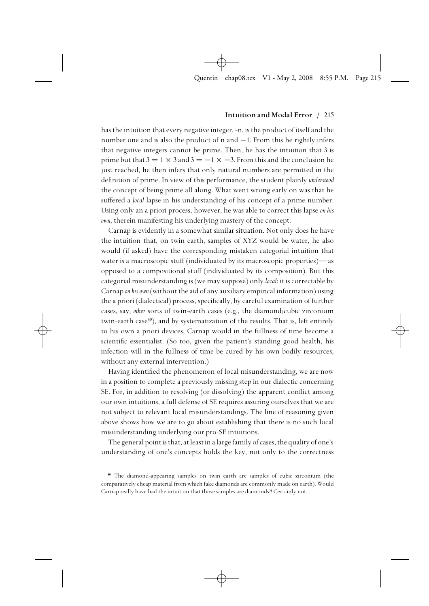has the intuition that every negative integer, -n, is the product of itself and the number one and is also the product of n and −1. From this he rightly infers that negative integers cannot be prime. Then, he has the intuition that 3 is prime but that  $3 = 1 \times 3$  and  $3 = -1 \times -3$ . From this and the conclusion he just reached, he then infers that only natural numbers are permitted in the definition of prime. In view of this performance, the student plainly *understood* the concept of being prime all along. What went wrong early on was that he suffered a *local* lapse in his understanding of his concept of a prime number. Using only an a priori process, however, he was able to correct this lapse *on his own*, therein manifesting his underlying mastery of the concept.

Carnap is evidently in a somewhat similar situation. Not only does he have the intuition that, on twin earth, samples of XYZ would be water, he also would (if asked) have the corresponding mistaken categorial intuition that water is a macroscopic stuff (individuated by its macroscopic properties)—as opposed to a compositional stuff (individuated by its composition). But this categorial misunderstanding is (we may suppose) only *local*: it is correctable by Carnap *on his own*(without the aid of any auxiliary empirical information) using the a priori (dialectical) process, specifically, by careful examination of further cases, say, *other* sorts of twin-earth cases (e.g., the diamond/cubic zirconium twin-earth case<sup>40</sup>), and by systematization of the results. That is, left entirely to his own a priori devices, Carnap would in the fullness of time become a scientific essentialist. (So too, given the patient's standing good health, his infection will in the fullness of time be cured by his own bodily resources, without any external intervention.)

Having identified the phenomenon of local misunderstanding, we are now in a position to complete a previously missing step in our dialectic concerning SE. For, in addition to resolving (or dissolving) the apparent conflict among our own intuitions, a full defense of SE requires assuring ourselves that we are not subject to relevant local misunderstandings. The line of reasoning given above shows how we are to go about establishing that there is no such local misunderstanding underlying our pro-SE intuitions.

The general point is that, at least in a large family of cases, the quality of one's understanding of one's concepts holds the key, not only to the correctness

<sup>&</sup>lt;sup>40</sup> The diamond-appearing samples on twin earth are samples of cubic zirconium (the comparatively cheap material from which fake diamonds are commonly made on earth). Would Carnap really have had the intuition that those samples are diamonds?! Certainly not.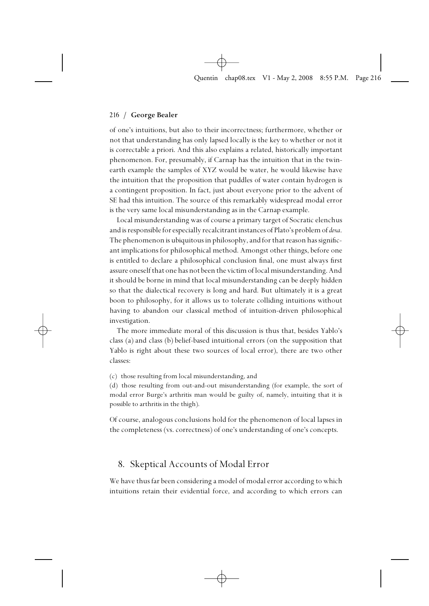# 216 **/ George Bealer**

of one's intuitions, but also to their incorrectness; furthermore, whether or not that understanding has only lapsed locally is the key to whether or not it is correctable a priori. And this also explains a related, historically important phenomenon. For, presumably, if Carnap has the intuition that in the twinearth example the samples of XYZ would be water, he would likewise have the intuition that the proposition that puddles of water contain hydrogen is a contingent proposition. In fact, just about everyone prior to the advent of SE had this intuition. The source of this remarkably widespread modal error is the very same local misunderstanding as in the Carnap example.

Local misunderstanding was of course a primary target of Socratic elenchus and is responsible for especially recalcitrant instances of Plato's problem of*doxa*. The phenomenon is ubiquitous in philosophy, and for that reason has significant implications for philosophical method. Amongst other things, before one is entitled to declare a philosophical conclusion final, one must always first assure oneself that one has not been the victim of local misunderstanding. And it should be borne in mind that local misunderstanding can be deeply hidden so that the dialectical recovery is long and hard. But ultimately it is a great boon to philosophy, for it allows us to tolerate colliding intuitions without having to abandon our classical method of intuition-driven philosophical investigation.

The more immediate moral of this discussion is thus that, besides Yablo's class (a) and class (b) belief-based intuitional errors (on the supposition that Yablo is right about these two sources of local error), there are two other classes:

(c) those resulting from local misunderstanding, and

(d) those resulting from out-and-out misunderstanding (for example, the sort of modal error Burge's arthritis man would be guilty of, namely, intuiting that it is possible to arthritis in the thigh).

Of course, analogous conclusions hold for the phenomenon of local lapses in the completeness (vs. correctness) of one's understanding of one's concepts.

# 8. Skeptical Accounts of Modal Error

We have thus far been considering a model of modal error according to which intuitions retain their evidential force, and according to which errors can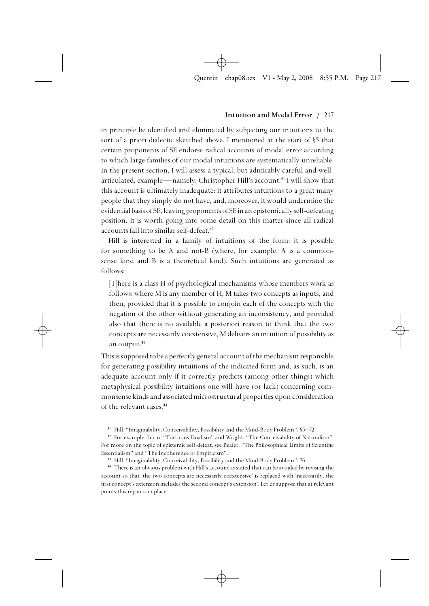in principle be identified and eliminated by subjecting our intuitions to the sort of a priori dialectic sketched above. I mentioned at the start of §5 that certain proponents of SE endorse radical accounts of modal error according to which large families of our modal intuitions are systematically unreliable. In the present section, I will assess a typical, but admirably careful and wellarticulated, example—namely, Christopher Hill's account.<sup>41</sup> I will show that this account is ultimately inadequate: it attributes intuitions to a great many people that they simply do not have, and, moreover, it would undermine the evidential basis of SE, leaving proponents of SE in an epistemically self-defeating position. It is worth going into some detail on this matter since all radical accounts fall into similar self-defeat.<sup>42</sup>

Hill is interested in a family of intuitions of the form: it is possible for something to be A and not-B (where, for example, A is a commonsense kind and B is a theoretical kind). Such intuitions are generated as follows:

[T]here is a class H of psychological mechanisms whose members work as follows: where M is any member of H, M takes two concepts as inputs, and then, provided that it is possible to conjoin each of the concepts with the negation of the other without generating an inconsistency, and provided also that there is no available a posteriori reason to think that the two concepts are necessarily coextensive, M delivers an intuition of possibility as an output.<sup>43</sup>

This is supposed to be a perfectly general account of the mechanism responsible for generating possibility intuitions of the indicated form and, as such, is an adequate account only if it correctly predicts (among other things) which metaphysical possibility intuitions one will have (or lack) concerning commonsense kinds and associated microstructural properties upon consideration of the relevant cases.<sup>44</sup>

<sup>&</sup>lt;sup>41</sup> Hill, "Imaginability, Conceivability, Possibility and the Mind-Body Problem", 65–72.

<sup>&</sup>lt;sup>42</sup> For example, Levin, "Tortuous Dualism" and Wright, "The Conceivability of Naturalism". For more on the topic of epistemic self-defeat, see Bealer, ''The Philosophical Limits of Scientific Essentialism'' and ''The Incoherence of Empiricism''.

<sup>&</sup>lt;sup>43</sup> Hill, "Imaginability, Conceivability, Possibility and the Mind-Body Problem", 76.

<sup>&</sup>lt;sup>44</sup> There is an obvious problem with Hill's account as stated that can be avoided by revising the account so that 'the two concepts are necessarily coextensive' is replaced with 'necessarily, the first concept's extension includes the second concept's extension'. Let us suppose that at relevant points this repair is in place.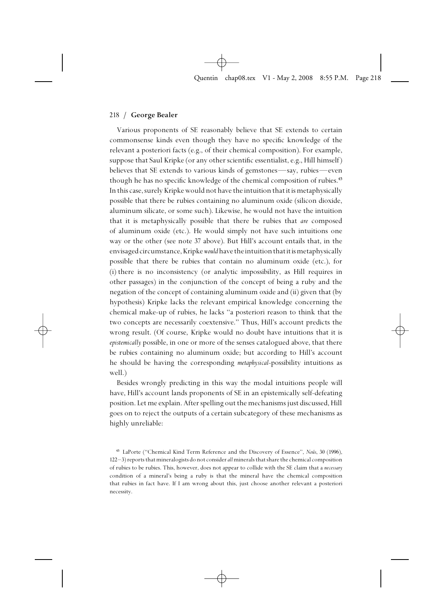# 218 **/ George Bealer**

Various proponents of SE reasonably believe that SE extends to certain commonsense kinds even though they have no specific knowledge of the relevant a posteriori facts (e.g., of their chemical composition). For example, suppose that Saul Kripke (or any other scientific essentialist, e.g., Hill himself) believes that SE extends to various kinds of gemstones—say, rubies—even though he has no specific knowledge of the chemical composition of rubies.<sup>45</sup> In this case, surely Kripke would not have the intuition that it is metaphysically possible that there be rubies containing no aluminum oxide (silicon dioxide, aluminum silicate, or some such). Likewise, he would not have the intuition that it is metaphysically possible that there be rubies that *are* composed of aluminum oxide (etc.). He would simply not have such intuitions one way or the other (see note 37 above). But Hill's account entails that, in the envisaged circumstance, Kripke*would*have the intuition that it is metaphysically possible that there be rubies that contain no aluminum oxide (etc.), for (i) there is no inconsistency (or analytic impossibility, as Hill requires in other passages) in the conjunction of the concept of being a ruby and the negation of the concept of containing aluminum oxide and (ii) given that (by hypothesis) Kripke lacks the relevant empirical knowledge concerning the chemical make-up of rubies, he lacks ''a posteriori reason to think that the two concepts are necessarily coextensive.'' Thus, Hill's account predicts the wrong result. (Of course, Kripke would no doubt have intuitions that it is *epistemically* possible, in one or more of the senses catalogued above, that there be rubies containing no aluminum oxide; but according to Hill's account he should be having the corresponding *metaphysical*-possibility intuitions as well.)

Besides wrongly predicting in this way the modal intuitions people will have, Hill's account lands proponents of SE in an epistemically self-defeating position. Let me explain. After spelling out the mechanisms just discussed, Hill goes on to reject the outputs of a certain subcategory of these mechanisms as highly unreliable:

<sup>&</sup>lt;sup>45</sup> LaPorte ("Chemical Kind Term Reference and the Discovery of Essence", *Noûs*, 30 (1996), 122–3) reports that mineralogists do not consider*all*minerals that share the chemical composition of rubies to be rubies. This, however, does not appear to collide with the SE claim that a *necessary* condition of a mineral's being a ruby is that the mineral have the chemical composition that rubies in fact have. If I am wrong about this, just choose another relevant a posteriori necessity.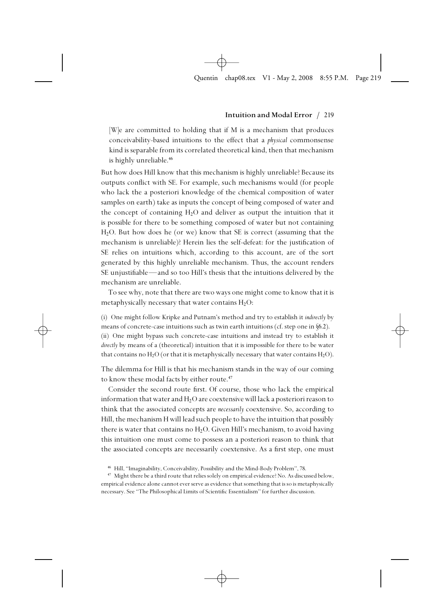[W]e are committed to holding that if M is a mechanism that produces conceivability-based intuitions to the effect that a *physical* commonsense kind is separable from its correlated theoretical kind, then that mechanism is highly unreliable.<sup>46</sup>

But how does Hill know that this mechanism is highly unreliable? Because its outputs conflict with SE. For example, such mechanisms would (for people who lack the a posteriori knowledge of the chemical composition of water samples on earth) take as inputs the concept of being composed of water and the concept of containing  $H_2O$  and deliver as output the intuition that it is possible for there to be something composed of water but not containing H2O. But how does he (or we) know that SE is correct (assuming that the mechanism is unreliable)? Herein lies the self-defeat: for the justification of SE relies on intuitions which, according to this account, are of the sort generated by this highly unreliable mechanism. Thus, the account renders SE unjustifiable—and so too Hill's thesis that the intuitions delivered by the mechanism are unreliable.

To see why, note that there are two ways one might come to know that it is metaphysically necessary that water contains  $H_2O$ :

(i) One might follow Kripke and Putnam's method and try to establish it *indirectly* by means of concrete-case intuitions such as twin earth intuitions (cf. step one in §6.2). (ii) One might bypass such concrete-case intuitions and instead try to establish it *directly* by means of a (theoretical) intuition that it is impossible for there to be water that contains no  $H_2O$  (or that it is metaphysically necessary that water contains  $H_2O$ ).

The dilemma for Hill is that his mechanism stands in the way of our coming to know these modal facts by either route.<sup>47</sup>

Consider the second route first. Of course, those who lack the empirical information that water and  $H_2O$  are coextensive will lack a posteriori reason to think that the associated concepts are *necessarily* coextensive. So, according to Hill, the mechanism H will lead such people to have the intuition that possibly there is water that contains no  $H_2O$ . Given Hill's mechanism, to avoid having this intuition one must come to possess an a posteriori reason to think that the associated concepts are necessarily coextensive. As a first step, one must

<sup>&</sup>lt;sup>46</sup> Hill, "Imaginability, Conceivability, Possibility and the Mind-Body Problem", 78.

<sup>&</sup>lt;sup>47</sup> Might there be a third route that relies solely on empirical evidence? No. As discussed below, empirical evidence alone cannot ever serve as evidence that something that is so is metaphysically necessary. See ''The Philosophical Limits of Scientific Essentialism'' for further discussion.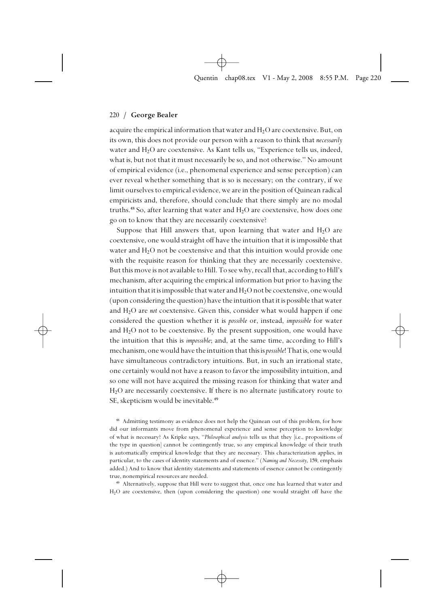# 220 **/ George Bealer**

acquire the empirical information that water and  $H_2O$  are coextensive. But, on its own, this does not provide our person with a reason to think that *necessarily* water and H<sub>2</sub>O are coextensive. As Kant tells us, "Experience tells us, indeed, what is, but not that it must necessarily be so, and not otherwise.'' No amount of empirical evidence (i.e., phenomenal experience and sense perception) can ever reveal whether something that is so is necessary; on the contrary, if we limit ourselves to empirical evidence, we are in the position of Quinean radical empiricists and, therefore, should conclude that there simply are no modal truths.<sup>48</sup> So, after learning that water and  $H_2O$  are coextensive, how does one go on to know that they are necessarily coextensive?

Suppose that Hill answers that, upon learning that water and  $H_2O$  are coextensive, one would straight off have the intuition that it is impossible that water and  $H_2O$  not be coextensive and that this intuition would provide one with the requisite reason for thinking that they are necessarily coextensive. But this move is not available to Hill. To see why, recall that, according to Hill's mechanism, after acquiring the empirical information but prior to having the intuition that it is impossible that water and  $H_2O$  not be coextensive, one would (upon considering the question) have the intuition that it is possible that water and H2O are *not* coextensive. Given this, consider what would happen if one considered the question whether it is *possible* or, instead, *impossible* for water and  $H<sub>2</sub>O$  not to be coextensive. By the present supposition, one would have the intuition that this is *impossible*; and, at the same time, according to Hill's mechanism, one would have the intuition that this is*possible*! That is, one would have simultaneous contradictory intuitions. But, in such an irrational state, one certainly would not have a reason to favor the impossibility intuition, and so one will not have acquired the missing reason for thinking that water and H2O are necessarily coextensive. If there is no alternate justificatory route to SE, skepticism would be inevitable.<sup>49</sup>

<sup>48</sup> Admitting testimony as evidence does not help the Quinean out of this problem, for how did our informants move from phenomenal experience and sense perception to knowledge of what is necessary? As Kripke says, ''*Philosophical analysis* tells us that they [i.e., propositions of the type in question] cannot be contingently true, so any empirical knowledge of their truth is automatically empirical knowledge that they are necessary. This characterization applies, in particular, to the cases of identity statements and of essence.'' (*Naming and Necessity*, 159, emphasis added.) And to know that identity statements and statements of essence cannot be contingently true, nonempirical resources are needed.

⁴⁹ Alternatively, suppose that Hill were to suggest that, once one has learned that water and H2O are coextensive, then (upon considering the question) one would straight off have the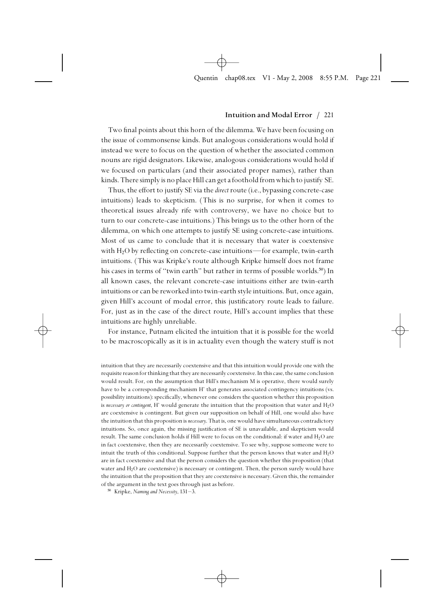Two final points about this horn of the dilemma. We have been focusing on the issue of commonsense kinds. But analogous considerations would hold if instead we were to focus on the question of whether the associated common nouns are rigid designators. Likewise, analogous considerations would hold if we focused on particulars (and their associated proper names), rather than kinds. There simply is no place Hill can get a foothold from which to justify SE.

Thus, the effort to justify SE via the*direct* route (i.e., bypassing concrete-case intuitions) leads to skepticism. (This is no surprise, for when it comes to theoretical issues already rife with controversy, we have no choice but to turn to our concrete-case intuitions.) This brings us to the other horn of the dilemma, on which one attempts to justify SE using concrete-case intuitions. Most of us came to conclude that it is necessary that water is coextensive with  $H_2O$  by reflecting on concrete-case intuitions—for example, twin-earth intuitions. (This was Kripke's route although Kripke himself does not frame his cases in terms of "twin earth" but rather in terms of possible worlds.<sup>50</sup>) In all known cases, the relevant concrete-case intuitions either are twin-earth intuitions or can be reworked into twin-earth style intuitions. But, once again, given Hill's account of modal error, this justificatory route leads to failure. For, just as in the case of the direct route, Hill's account implies that these intuitions are highly unreliable.

For instance, Putnam elicited the intuition that it is possible for the world to be macroscopically as it is in actuality even though the watery stuff is not

⁵⁰ Kripke, *Naming and Necessity*, 131–3.

intuition that they are necessarily coextensive and that this intuition would provide one with the requisite reason for thinking that they are necessarily coextensive. In this case, the same conclusion would result. For, on the assumption that Hill's mechanism M is operative, there would surely have to be a corresponding mechanism H' that generates associated contingency intuitions (vs. possibility intuitions): specifically, whenever one considers the question whether this proposition is *necessary or contingent*, H' would generate the intuition that the proposition that water and H2O are coextensive is contingent. But given our supposition on behalf of Hill, one would also have the intuition that this proposition is*necessary*. That is, one would have simultaneous contradictory intuitions. So, once again, the missing justification of SE is unavailable, and skepticism would result. The same conclusion holds if Hill were to focus on the conditional: if water and H2O are in fact coextensive, then they are necessarily coextensive. To see why, suppose someone were to intuit the truth of this conditional. Suppose further that the person knows that water and  $H_2O$ are in fact coextensive and that the person considers the question whether this proposition (that water and H2O are coextensive) is necessary or contingent. Then, the person surely would have the intuition that the proposition that they are coextensive is necessary. Given this, the remainder of the argument in the text goes through just as before.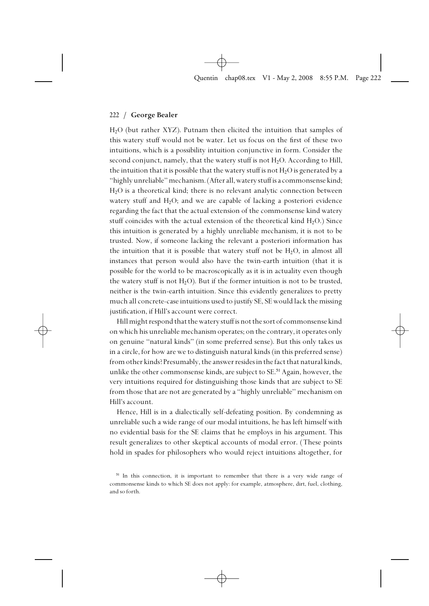# 222 **/ George Bealer**

H2O (but rather XYZ). Putnam then elicited the intuition that samples of this watery stuff would not be water. Let us focus on the first of these two intuitions, which is a possibility intuition conjunctive in form. Consider the second conjunct, namely, that the watery stuff is not  $H_2O$ . According to Hill, the intuition that it is possible that the watery stuff is not  $H_2O$  is generated by a ''highly unreliable'' mechanism. (After all, watery stuff is a commonsense kind; H2O is a theoretical kind; there is no relevant analytic connection between watery stuff and  $H_2O$ ; and we are capable of lacking a posteriori evidence regarding the fact that the actual extension of the commonsense kind watery stuff coincides with the actual extension of the theoretical kind  $H_2O$ .) Since this intuition is generated by a highly unreliable mechanism, it is not to be trusted. Now, if someone lacking the relevant a posteriori information has the intuition that it is possible that watery stuff not be  $H_2O$ , in almost all instances that person would also have the twin-earth intuition (that it is possible for the world to be macroscopically as it is in actuality even though the watery stuff is not  $H_2O$ ). But if the former intuition is not to be trusted, neither is the twin-earth intuition. Since this evidently generalizes to pretty much all concrete-case intuitions used to justify SE, SE would lack the missing justification, if Hill's account were correct.

Hill might respond that the watery stuff is not the sort of commonsense kind on which his unreliable mechanism operates; on the contrary, it operates only on genuine ''natural kinds'' (in some preferred sense). But this only takes us in a circle, for how are we to distinguish natural kinds (in this preferred sense) from other kinds? Presumably, the answer resides in the fact that natural kinds, unlike the other commonsense kinds, are subject to SE.<sup>51</sup> Again, however, the very intuitions required for distinguishing those kinds that are subject to SE from those that are not are generated by a ''highly unreliable'' mechanism on Hill's account.

Hence, Hill is in a dialectically self-defeating position. By condemning as unreliable such a wide range of our modal intuitions, he has left himself with no evidential basis for the SE claims that he employs in his argument. This result generalizes to other skeptical accounts of modal error. (These points hold in spades for philosophers who would reject intuitions altogether, for

<sup>&</sup>lt;sup>51</sup> In this connection, it is important to remember that there is a very wide range of commonsense kinds to which SE does not apply: for example, atmosphere, dirt, fuel, clothing, and so forth.